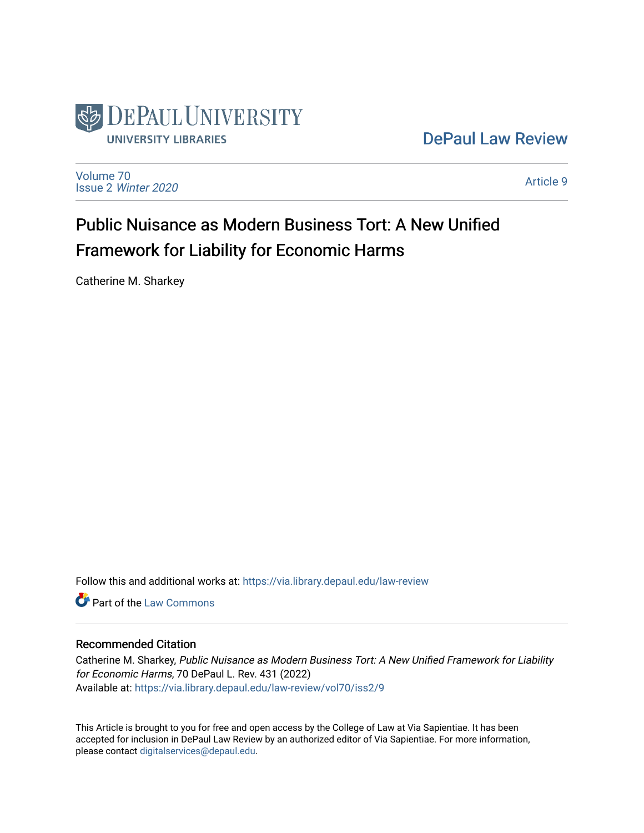

# [DePaul Law Review](https://via.library.depaul.edu/law-review)

[Volume 70](https://via.library.depaul.edu/law-review/vol70) Issue 2 [Winter 2020](https://via.library.depaul.edu/law-review/vol70/iss2) 

[Article 9](https://via.library.depaul.edu/law-review/vol70/iss2/9) 

# Public Nuisance as Modern Business Tort: A New Unified Framework for Liability for Economic Harms

Catherine M. Sharkey

Follow this and additional works at: [https://via.library.depaul.edu/law-review](https://via.library.depaul.edu/law-review?utm_source=via.library.depaul.edu%2Flaw-review%2Fvol70%2Fiss2%2F9&utm_medium=PDF&utm_campaign=PDFCoverPages) 

**C** Part of the [Law Commons](http://network.bepress.com/hgg/discipline/578?utm_source=via.library.depaul.edu%2Flaw-review%2Fvol70%2Fiss2%2F9&utm_medium=PDF&utm_campaign=PDFCoverPages)

# Recommended Citation

Catherine M. Sharkey, Public Nuisance as Modern Business Tort: A New Unified Framework for Liability for Economic Harms, 70 DePaul L. Rev. 431 (2022) Available at: [https://via.library.depaul.edu/law-review/vol70/iss2/9](https://via.library.depaul.edu/law-review/vol70/iss2/9?utm_source=via.library.depaul.edu%2Flaw-review%2Fvol70%2Fiss2%2F9&utm_medium=PDF&utm_campaign=PDFCoverPages) 

This Article is brought to you for free and open access by the College of Law at Via Sapientiae. It has been accepted for inclusion in DePaul Law Review by an authorized editor of Via Sapientiae. For more information, please contact [digitalservices@depaul.edu.](mailto:digitalservices@depaul.edu)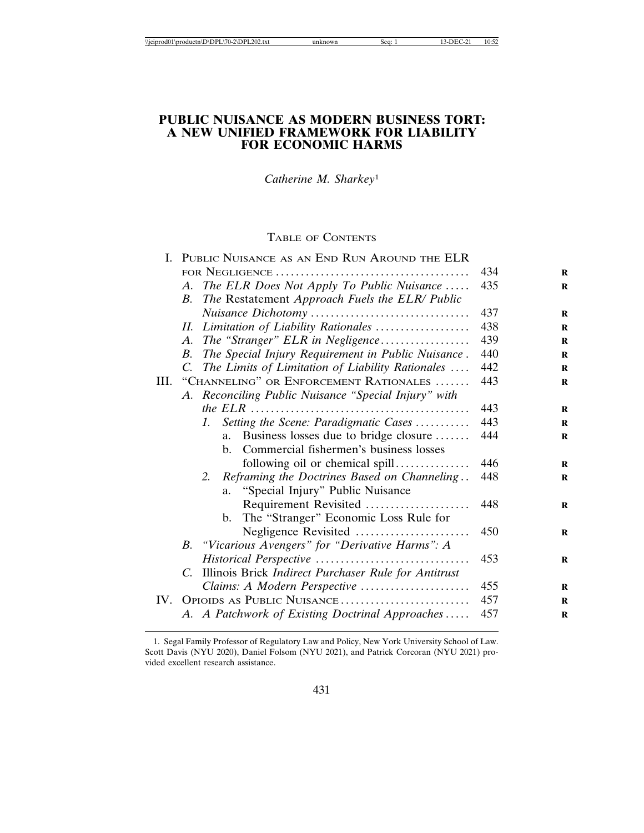# **PUBLIC NUISANCE AS MODERN BUSINESS TORT: A NEW UNIFIED FRAMEWORK FOR LIABILITY FOR ECONOMIC HARMS**

*Catherine M. Sharkey*<sup>1</sup>

# TABLE OF CONTENTS

|      |             | I. PUBLIC NUISANCE AS AN END RUN AROUND THE ELR          |     |
|------|-------------|----------------------------------------------------------|-----|
|      |             |                                                          | 434 |
|      |             | A. The ELR Does Not Apply To Public Nuisance             | 435 |
|      | B.          | The Restatement Approach Fuels the ELR/ Public           |     |
|      |             |                                                          | 437 |
|      | Н.          | Limitation of Liability Rationales                       | 438 |
|      | A.          | The "Stranger" ELR in Negligence                         | 439 |
|      | В.          | The Special Injury Requirement in Public Nuisance.       | 440 |
|      | $C_{\cdot}$ | The Limits of Limitation of Liability Rationales         | 442 |
| III. |             | "CHANNELING" OR ENFORCEMENT RATIONALES                   | 443 |
|      |             | A. Reconciling Public Nuisance "Special Injury" with     |     |
|      |             |                                                          | 443 |
|      |             | Setting the Scene: Paradigmatic Cases<br>$\mathcal{I}$ . | 443 |
|      |             | Business losses due to bridge closure<br>$a_{\cdot}$     | 444 |
|      |             | Commercial fishermen's business losses<br>$\mathbf{b}$ . |     |
|      |             | following oil or chemical spill                          | 446 |
|      |             | Reframing the Doctrines Based on Channeling<br>2.        | 448 |
|      |             | "Special Injury" Public Nuisance<br>a.                   |     |
|      |             | Requirement Revisited                                    | 448 |
|      |             | b. The "Stranger" Economic Loss Rule for                 |     |
|      |             | Negligence Revisited                                     | 450 |
|      | В.          | "Vicarious Avengers" for "Derivative Harms": A           |     |
|      |             |                                                          | 453 |
|      | C.          | Illinois Brick Indirect Purchaser Rule for Antitrust     |     |
|      |             | Claims: A Modern Perspective                             | 455 |
| IV.  |             | OPIOIDS AS PUBLIC NUISANCE                               | 457 |
|      |             | A. A Patchwork of Existing Doctrinal Approaches          | 457 |

<sup>1.</sup> Segal Family Professor of Regulatory Law and Policy, New York University School of Law. Scott Davis (NYU 2020), Daniel Folsom (NYU 2021), and Patrick Corcoran (NYU 2021) provided excellent research assistance.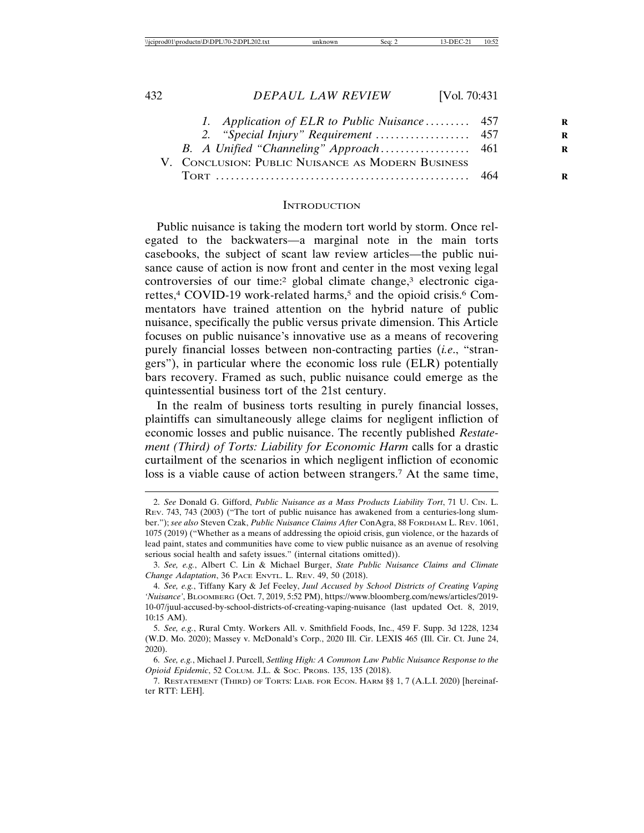| 1. Application of ELR to Public Nuisance 457      |  |
|---------------------------------------------------|--|
|                                                   |  |
|                                                   |  |
| V. CONCLUSION: PUBLIC NUISANCE AS MODERN BUSINESS |  |
|                                                   |  |
|                                                   |  |

#### **INTRODUCTION**

Public nuisance is taking the modern tort world by storm. Once relegated to the backwaters—a marginal note in the main torts casebooks, the subject of scant law review articles—the public nuisance cause of action is now front and center in the most vexing legal controversies of our time:<sup>2</sup> global climate change,<sup>3</sup> electronic cigarettes,<sup>4</sup> COVID-19 work-related harms,<sup>5</sup> and the opioid crisis.<sup>6</sup> Commentators have trained attention on the hybrid nature of public nuisance, specifically the public versus private dimension. This Article focuses on public nuisance's innovative use as a means of recovering purely financial losses between non-contracting parties (*i.e*., "strangers"), in particular where the economic loss rule (ELR) potentially bars recovery. Framed as such, public nuisance could emerge as the quintessential business tort of the 21st century.

In the realm of business torts resulting in purely financial losses, plaintiffs can simultaneously allege claims for negligent infliction of economic losses and public nuisance. The recently published *Restatement (Third) of Torts: Liability for Economic Harm* calls for a drastic curtailment of the scenarios in which negligent infliction of economic loss is a viable cause of action between strangers.7 At the same time,

<sup>2.</sup> *See* Donald G. Gifford, *Public Nuisance as a Mass Products Liability Tort*, 71 U. CIN. L. REV. 743, 743 (2003) ("The tort of public nuisance has awakened from a centuries-long slumber."); *see also* Steven Czak, *Public Nuisance Claims After* ConAgra, 88 FORDHAM L. REV. 1061, 1075 (2019) ("Whether as a means of addressing the opioid crisis, gun violence, or the hazards of lead paint, states and communities have come to view public nuisance as an avenue of resolving serious social health and safety issues." (internal citations omitted)).

<sup>3.</sup> *See, e.g.*, Albert C. Lin & Michael Burger, *State Public Nuisance Claims and Climate Change Adaptation*, 36 PACE ENVTL. L. REV. 49, 50 (2018).

<sup>4.</sup> *See, e.g.*, Tiffany Kary & Jef Feeley, *Juul Accused by School Districts of Creating Vaping 'Nuisance'*, BLOOMBERG (Oct. 7, 2019, 5:52 PM), https://www.bloomberg.com/news/articles/2019- 10-07/juul-accused-by-school-districts-of-creating-vaping-nuisance (last updated Oct. 8, 2019, 10:15 AM).

<sup>5.</sup> *See, e.g.*, Rural Cmty. Workers All. v. Smithfield Foods, Inc., 459 F. Supp. 3d 1228, 1234 (W.D. Mo. 2020); Massey v. McDonald's Corp., 2020 Ill. Cir. LEXIS 465 (Ill. Cir. Ct. June 24, 2020).

<sup>6.</sup> *See, e.g.*, Michael J. Purcell, *Settling High: A Common Law Public Nuisance Response to the Opioid Epidemic*, 52 COLUM. J.L. & SOC. PROBS. 135, 135 (2018).

<sup>7.</sup> RESTATEMENT (THIRD) OF TORTS: LIAB. FOR ECON. HARM §§ 1, 7 (A.L.I. 2020) [hereinafter RTT: LEH].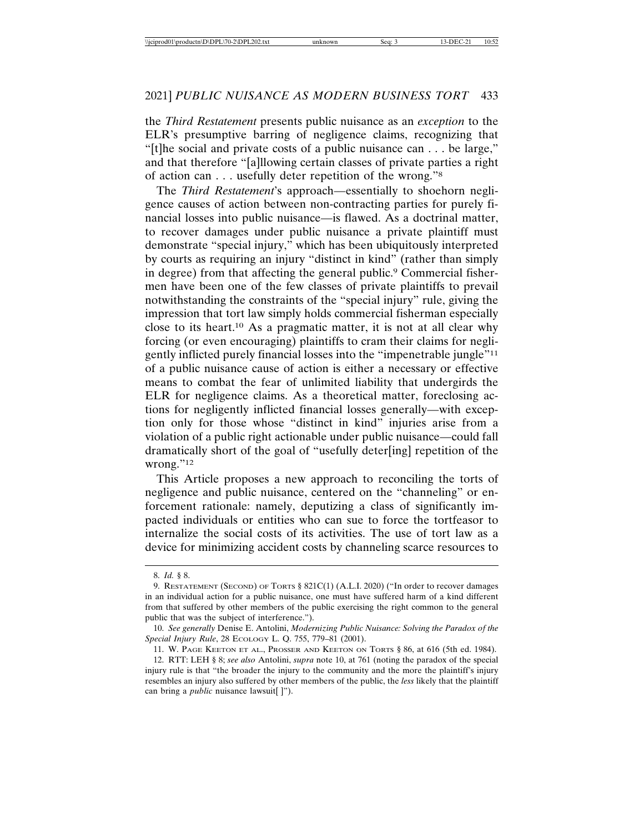the *Third Restatement* presents public nuisance as an *exception* to the ELR's presumptive barring of negligence claims, recognizing that "[t]he social and private costs of a public nuisance can . . . be large," and that therefore "[a]llowing certain classes of private parties a right of action can . . . usefully deter repetition of the wrong."8

The *Third Restatement*'s approach—essentially to shoehorn negligence causes of action between non-contracting parties for purely financial losses into public nuisance—is flawed. As a doctrinal matter, to recover damages under public nuisance a private plaintiff must demonstrate "special injury," which has been ubiquitously interpreted by courts as requiring an injury "distinct in kind" (rather than simply in degree) from that affecting the general public.9 Commercial fishermen have been one of the few classes of private plaintiffs to prevail notwithstanding the constraints of the "special injury" rule, giving the impression that tort law simply holds commercial fisherman especially close to its heart.10 As a pragmatic matter, it is not at all clear why forcing (or even encouraging) plaintiffs to cram their claims for negligently inflicted purely financial losses into the "impenetrable jungle"11 of a public nuisance cause of action is either a necessary or effective means to combat the fear of unlimited liability that undergirds the ELR for negligence claims. As a theoretical matter, foreclosing actions for negligently inflicted financial losses generally—with exception only for those whose "distinct in kind" injuries arise from a violation of a public right actionable under public nuisance—could fall dramatically short of the goal of "usefully deter[ing] repetition of the wrong."<sup>12</sup>

This Article proposes a new approach to reconciling the torts of negligence and public nuisance, centered on the "channeling" or enforcement rationale: namely, deputizing a class of significantly impacted individuals or entities who can sue to force the tortfeasor to internalize the social costs of its activities. The use of tort law as a device for minimizing accident costs by channeling scarce resources to

<sup>8.</sup> *Id.* § 8.

<sup>9.</sup> RESTATEMENT (SECOND) OF TORTS § 821C(1) (A.L.I. 2020) ("In order to recover damages in an individual action for a public nuisance, one must have suffered harm of a kind different from that suffered by other members of the public exercising the right common to the general public that was the subject of interference.").

<sup>10.</sup> *See generally* Denise E. Antolini, *Modernizing Public Nuisance: Solving the Paradox of the Special Injury Rule*, 28 ECOLOGY L. Q. 755, 779–81 (2001).

<sup>11.</sup> W. PAGE KEETON ET AL., PROSSER AND KEETON ON TORTS § 86, at 616 (5th ed. 1984).

<sup>12.</sup> RTT: LEH § 8; *see also* Antolini, *supra* note 10, at 761 (noting the paradox of the special injury rule is that "the broader the injury to the community and the more the plaintiff's injury resembles an injury also suffered by other members of the public, the *less* likely that the plaintiff can bring a *public* nuisance lawsuit[ ]").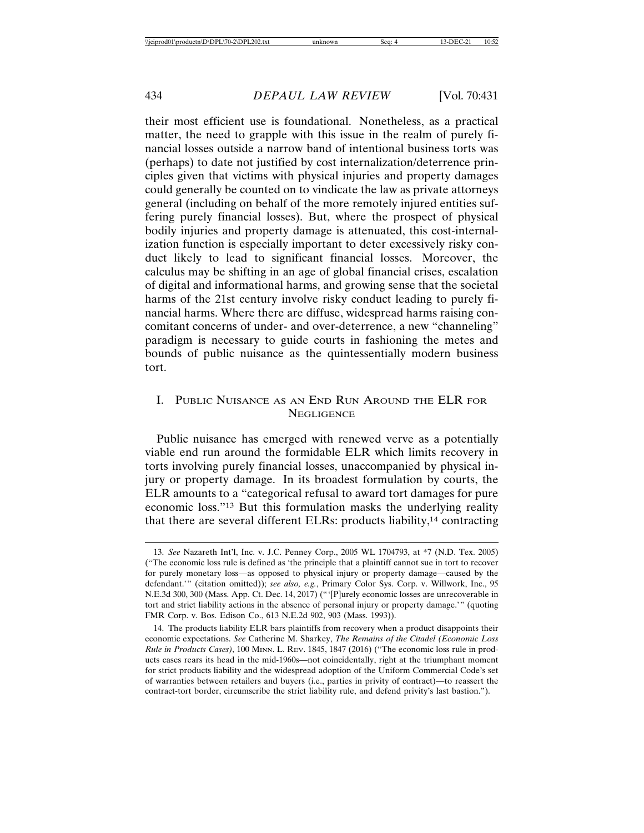their most efficient use is foundational. Nonetheless, as a practical matter, the need to grapple with this issue in the realm of purely financial losses outside a narrow band of intentional business torts was (perhaps) to date not justified by cost internalization/deterrence principles given that victims with physical injuries and property damages could generally be counted on to vindicate the law as private attorneys general (including on behalf of the more remotely injured entities suffering purely financial losses). But, where the prospect of physical bodily injuries and property damage is attenuated, this cost-internalization function is especially important to deter excessively risky conduct likely to lead to significant financial losses. Moreover, the calculus may be shifting in an age of global financial crises, escalation of digital and informational harms, and growing sense that the societal harms of the 21st century involve risky conduct leading to purely financial harms. Where there are diffuse, widespread harms raising concomitant concerns of under- and over-deterrence, a new "channeling" paradigm is necessary to guide courts in fashioning the metes and bounds of public nuisance as the quintessentially modern business tort.

# I. PUBLIC NUISANCE AS AN END RUN AROUND THE ELR FOR NEGLIGENCE

Public nuisance has emerged with renewed verve as a potentially viable end run around the formidable ELR which limits recovery in torts involving purely financial losses, unaccompanied by physical injury or property damage. In its broadest formulation by courts, the ELR amounts to a "categorical refusal to award tort damages for pure economic loss."13 But this formulation masks the underlying reality that there are several different ELRs: products liability,<sup>14</sup> contracting

<sup>13.</sup> *See* Nazareth Int'l, Inc. v. J.C. Penney Corp., 2005 WL 1704793, at \*7 (N.D. Tex. 2005) ("The economic loss rule is defined as 'the principle that a plaintiff cannot sue in tort to recover for purely monetary loss—as opposed to physical injury or property damage—caused by the defendant.'" (citation omitted)); *see also, e.g.*, Primary Color Sys. Corp. v. Willwork, Inc., 95 N.E.3d 300, 300 (Mass. App. Ct. Dec. 14, 2017) ("'[P]urely economic losses are unrecoverable in tort and strict liability actions in the absence of personal injury or property damage.'" (quoting FMR Corp. v. Bos. Edison Co., 613 N.E.2d 902, 903 (Mass. 1993)).

<sup>14.</sup> The products liability ELR bars plaintiffs from recovery when a product disappoints their economic expectations. *See* Catherine M. Sharkey, *The Remains of the Citadel (Economic Loss Rule in Products Cases)*, 100 MINN. L. REV. 1845, 1847 (2016) ("The economic loss rule in products cases rears its head in the mid-1960s—not coincidentally, right at the triumphant moment for strict products liability and the widespread adoption of the Uniform Commercial Code's set of warranties between retailers and buyers (i.e., parties in privity of contract)—to reassert the contract-tort border, circumscribe the strict liability rule, and defend privity's last bastion.").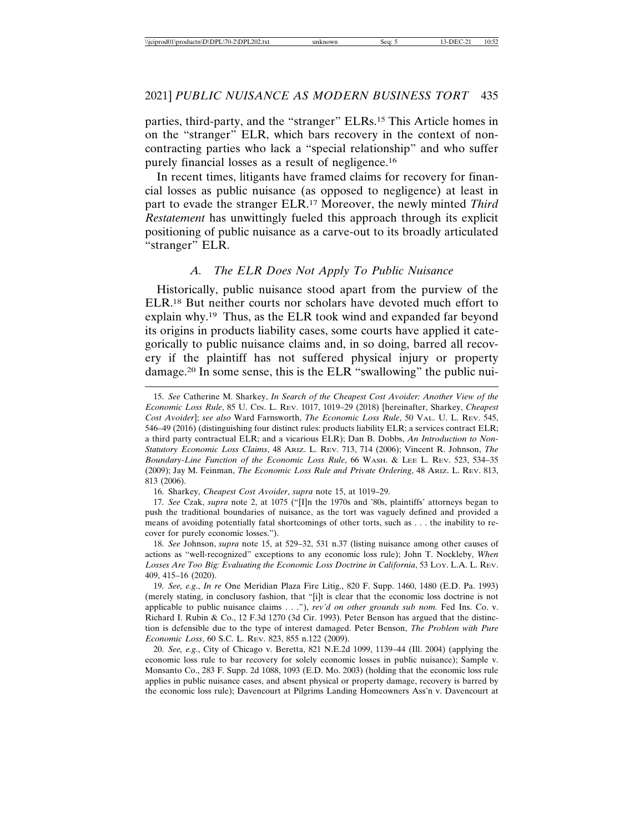parties, third-party, and the "stranger" ELRs.15 This Article homes in on the "stranger" ELR, which bars recovery in the context of noncontracting parties who lack a "special relationship" and who suffer purely financial losses as a result of negligence.16

In recent times, litigants have framed claims for recovery for financial losses as public nuisance (as opposed to negligence) at least in part to evade the stranger ELR.17 Moreover, the newly minted *Third Restatement* has unwittingly fueled this approach through its explicit positioning of public nuisance as a carve-out to its broadly articulated "stranger" ELR.

#### *A. The ELR Does Not Apply To Public Nuisance*

Historically, public nuisance stood apart from the purview of the ELR.18 But neither courts nor scholars have devoted much effort to explain why.19 Thus, as the ELR took wind and expanded far beyond its origins in products liability cases, some courts have applied it categorically to public nuisance claims and, in so doing, barred all recovery if the plaintiff has not suffered physical injury or property damage.20 In some sense, this is the ELR "swallowing" the public nui-

16. Sharkey, *Cheapest Cost Avoider*, *supra* note 15, at 1019–29.

17. *See* Czak, *supra* note 2, at 1075 ("[I]n the 1970s and '80s, plaintiffs' attorneys began to push the traditional boundaries of nuisance, as the tort was vaguely defined and provided a means of avoiding potentially fatal shortcomings of other torts, such as . . . the inability to recover for purely economic losses.").

18. *See* Johnson, *supra* note 15, at 529–32, 531 n.37 (listing nuisance among other causes of actions as "well-recognized" exceptions to any economic loss rule); John T. Nockleby, *When Losses Are Too Big: Evaluating the Economic Loss Doctrine in California*, 53 LOY. L.A. L. REV. 409, 415–16 (2020).

19. *See, e.g*., *In re* One Meridian Plaza Fire Litig., 820 F. Supp. 1460, 1480 (E.D. Pa. 1993) (merely stating, in conclusory fashion, that "[i]t is clear that the economic loss doctrine is not applicable to public nuisance claims . . ."), *rev'd on other grounds sub nom*. Fed Ins. Co. v. Richard I. Rubin & Co., 12 F.3d 1270 (3d Cir. 1993). Peter Benson has argued that the distinction is defensible due to the type of interest damaged. Peter Benson, *The Problem with Pure Economic Loss*, 60 S.C. L. REV. 823, 855 n.122 (2009).

20. *See, e.g.*, City of Chicago v. Beretta, 821 N.E.2d 1099, 1139–44 (Ill. 2004) (applying the economic loss rule to bar recovery for solely economic losses in public nuisance); Sample v. Monsanto Co., 283 F. Supp. 2d 1088, 1093 (E.D. Mo. 2003) (holding that the economic loss rule applies in public nuisance cases, and absent physical or property damage, recovery is barred by the economic loss rule); Davencourt at Pilgrims Landing Homeowners Ass'n v. Davencourt at

<sup>15.</sup> *See* Catherine M. Sharkey, *In Search of the Cheapest Cost Avoider: Another View of the Economic Loss Rule*, 85 U. CIN. L. REV. 1017, 1019–29 (2018) [hereinafter, Sharkey, *Cheapest Cost Avoider*]; *see also* Ward Farnsworth, *The Economic Loss Rule*, 50 VAL. U. L. REV. 545, 546–49 (2016) (distinguishing four distinct rules: products liability ELR; a services contract ELR; a third party contractual ELR; and a vicarious ELR); Dan B. Dobbs, *An Introduction to Non-Statutory Economic Loss Claims*, 48 ARIZ. L. REV. 713, 714 (2006); Vincent R. Johnson, *The Boundary-Line Function of the Economic Loss Rule*, 66 WASH. & LEE L. REV. 523, 534–35 (2009); Jay M. Feinman, *The Economic Loss Rule and Private Ordering*, 48 ARIZ. L. REV. 813, 813 (2006).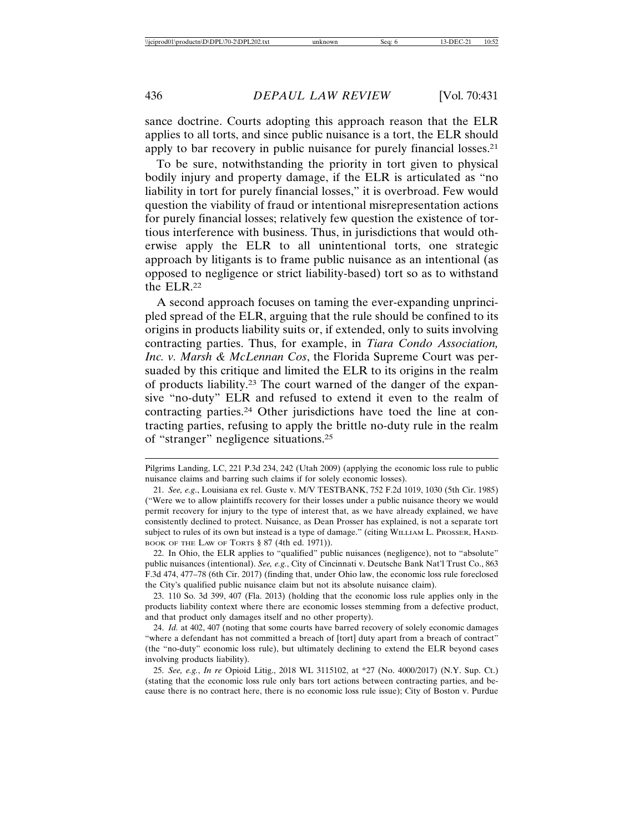sance doctrine. Courts adopting this approach reason that the ELR applies to all torts, and since public nuisance is a tort, the ELR should apply to bar recovery in public nuisance for purely financial losses.21

To be sure, notwithstanding the priority in tort given to physical bodily injury and property damage, if the ELR is articulated as "no liability in tort for purely financial losses," it is overbroad. Few would question the viability of fraud or intentional misrepresentation actions for purely financial losses; relatively few question the existence of tortious interference with business. Thus, in jurisdictions that would otherwise apply the ELR to all unintentional torts, one strategic approach by litigants is to frame public nuisance as an intentional (as opposed to negligence or strict liability-based) tort so as to withstand the ELR.22

A second approach focuses on taming the ever-expanding unprincipled spread of the ELR, arguing that the rule should be confined to its origins in products liability suits or, if extended, only to suits involving contracting parties. Thus, for example, in *Tiara Condo Association, Inc. v. Marsh & McLennan Cos*, the Florida Supreme Court was persuaded by this critique and limited the ELR to its origins in the realm of products liability.23 The court warned of the danger of the expansive "no-duty" ELR and refused to extend it even to the realm of contracting parties.24 Other jurisdictions have toed the line at contracting parties, refusing to apply the brittle no-duty rule in the realm of "stranger" negligence situations.25

22. In Ohio, the ELR applies to "qualified" public nuisances (negligence), not to "absolute" public nuisances (intentional). *See, e.g.*, City of Cincinnati v. Deutsche Bank Nat'l Trust Co., 863 F.3d 474, 477–78 (6th Cir. 2017) (finding that, under Ohio law, the economic loss rule foreclosed the City's qualified public nuisance claim but not its absolute nuisance claim).

23. 110 So. 3d 399, 407 (Fla. 2013) (holding that the economic loss rule applies only in the products liability context where there are economic losses stemming from a defective product, and that product only damages itself and no other property).

24. *Id.* at 402, 407 (noting that some courts have barred recovery of solely economic damages "where a defendant has not committed a breach of [tort] duty apart from a breach of contract" (the "no-duty" economic loss rule), but ultimately declining to extend the ELR beyond cases involving products liability).

25. *See, e.g.*, *In re* Opioid Litig., 2018 WL 3115102, at \*27 (No. 4000/2017) (N.Y. Sup. Ct.) (stating that the economic loss rule only bars tort actions between contracting parties, and because there is no contract here, there is no economic loss rule issue); City of Boston v. Purdue

Pilgrims Landing, LC, 221 P.3d 234, 242 (Utah 2009) (applying the economic loss rule to public nuisance claims and barring such claims if for solely economic losses).

<sup>21.</sup> *See, e.g*., Louisiana ex rel. Guste v. M/V TESTBANK, 752 F.2d 1019, 1030 (5th Cir. 1985) ("Were we to allow plaintiffs recovery for their losses under a public nuisance theory we would permit recovery for injury to the type of interest that, as we have already explained, we have consistently declined to protect. Nuisance, as Dean Prosser has explained, is not a separate tort subject to rules of its own but instead is a type of damage." (citing WILLIAM L. PROSSER, HAND-BOOK OF THE LAW OF TORTS § 87 (4th ed. 1971)).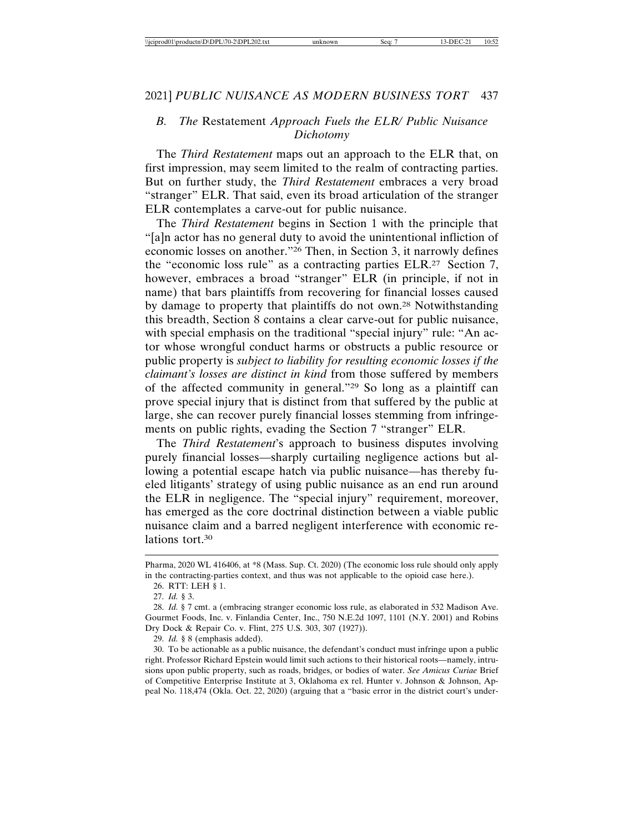# *B. The* Restatement *Approach Fuels the ELR/ Public Nuisance Dichotomy*

The *Third Restatement* maps out an approach to the ELR that, on first impression, may seem limited to the realm of contracting parties. But on further study, the *Third Restatement* embraces a very broad "stranger" ELR. That said, even its broad articulation of the stranger ELR contemplates a carve-out for public nuisance.

The *Third Restatement* begins in Section 1 with the principle that "[a]n actor has no general duty to avoid the unintentional infliction of economic losses on another."26 Then, in Section 3, it narrowly defines the "economic loss rule" as a contracting parties ELR.27 Section 7, however, embraces a broad "stranger" ELR (in principle, if not in name) that bars plaintiffs from recovering for financial losses caused by damage to property that plaintiffs do not own.28 Notwithstanding this breadth, Section 8 contains a clear carve-out for public nuisance, with special emphasis on the traditional "special injury" rule: "An actor whose wrongful conduct harms or obstructs a public resource or public property is *subject to liability for resulting economic losses if the claimant's losses are distinct in kind* from those suffered by members of the affected community in general."29 So long as a plaintiff can prove special injury that is distinct from that suffered by the public at large, she can recover purely financial losses stemming from infringements on public rights, evading the Section 7 "stranger" ELR.

The *Third Restatement*'s approach to business disputes involving purely financial losses—sharply curtailing negligence actions but allowing a potential escape hatch via public nuisance—has thereby fueled litigants' strategy of using public nuisance as an end run around the ELR in negligence. The "special injury" requirement, moreover, has emerged as the core doctrinal distinction between a viable public nuisance claim and a barred negligent interference with economic relations tort.<sup>30</sup>

29. *Id.* § 8 (emphasis added).

30. To be actionable as a public nuisance, the defendant's conduct must infringe upon a public right. Professor Richard Epstein would limit such actions to their historical roots—namely, intrusions upon public property, such as roads, bridges, or bodies of water. *See Amicus Curiae* Brief of Competitive Enterprise Institute at 3, Oklahoma ex rel. Hunter v. Johnson & Johnson, Appeal No. 118,474 (Okla. Oct. 22, 2020) (arguing that a "basic error in the district court's under-

Pharma, 2020 WL 416406, at \*8 (Mass. Sup. Ct. 2020) (The economic loss rule should only apply in the contracting-parties context, and thus was not applicable to the opioid case here.).

<sup>26.</sup> RTT: LEH § 1.

<sup>27.</sup> *Id.* § 3.

<sup>28.</sup> *Id.* § 7 cmt. a (embracing stranger economic loss rule, as elaborated in 532 Madison Ave. Gourmet Foods, Inc. v. Finlandia Center, Inc., 750 N.E.2d 1097, 1101 (N.Y. 2001) and Robins Dry Dock & Repair Co. v. Flint, 275 U.S. 303, 307 (1927)).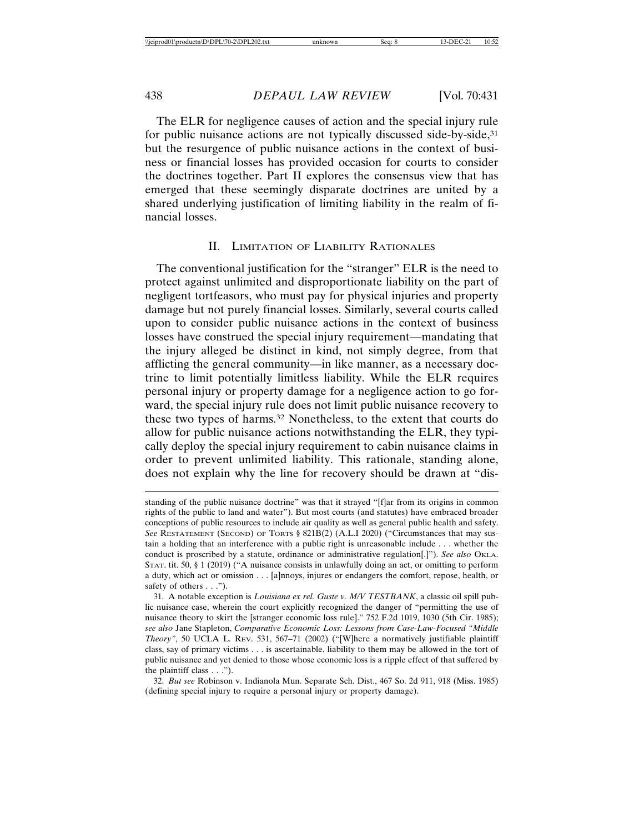The ELR for negligence causes of action and the special injury rule for public nuisance actions are not typically discussed side-by-side,<sup>31</sup> but the resurgence of public nuisance actions in the context of business or financial losses has provided occasion for courts to consider the doctrines together. Part II explores the consensus view that has emerged that these seemingly disparate doctrines are united by a shared underlying justification of limiting liability in the realm of financial losses.

#### II. LIMITATION OF LIABILITY RATIONALES

The conventional justification for the "stranger" ELR is the need to protect against unlimited and disproportionate liability on the part of negligent tortfeasors, who must pay for physical injuries and property damage but not purely financial losses. Similarly, several courts called upon to consider public nuisance actions in the context of business losses have construed the special injury requirement—mandating that the injury alleged be distinct in kind, not simply degree, from that afflicting the general community—in like manner, as a necessary doctrine to limit potentially limitless liability. While the ELR requires personal injury or property damage for a negligence action to go forward, the special injury rule does not limit public nuisance recovery to these two types of harms.32 Nonetheless, to the extent that courts do allow for public nuisance actions notwithstanding the ELR, they typically deploy the special injury requirement to cabin nuisance claims in order to prevent unlimited liability. This rationale, standing alone, does not explain why the line for recovery should be drawn at "dis-

standing of the public nuisance doctrine" was that it strayed "[f]ar from its origins in common rights of the public to land and water"). But most courts (and statutes) have embraced broader conceptions of public resources to include air quality as well as general public health and safety. *See* RESTATEMENT (SECOND) OF TORTS § 821B(2) (A.L.I 2020) ("Circumstances that may sustain a holding that an interference with a public right is unreasonable include . . . whether the conduct is proscribed by a statute, ordinance or administrative regulation[.]"). See also OKLA. STAT. tit. 50, § 1 (2019) ("A nuisance consists in unlawfully doing an act, or omitting to perform a duty, which act or omission . . . [a]nnoys, injures or endangers the comfort, repose, health, or safety of others  $\dots$ ").

<sup>31.</sup> A notable exception is *Louisiana ex rel. Guste v. M/V TESTBANK*, a classic oil spill public nuisance case, wherein the court explicitly recognized the danger of "permitting the use of nuisance theory to skirt the [stranger economic loss rule]." 752 F.2d 1019, 1030 (5th Cir. 1985); *see also* Jane Stapleton, *Comparative Economic Loss: Lessons from Case-Law-Focused "Middle Theory"*, 50 UCLA L. REV. 531, 567–71 (2002) ("[W]here a normatively justifiable plaintiff class, say of primary victims . . . is ascertainable, liability to them may be allowed in the tort of public nuisance and yet denied to those whose economic loss is a ripple effect of that suffered by the plaintiff class . . .").

<sup>32.</sup> *But see* Robinson v. Indianola Mun. Separate Sch. Dist., 467 So. 2d 911, 918 (Miss. 1985) (defining special injury to require a personal injury or property damage).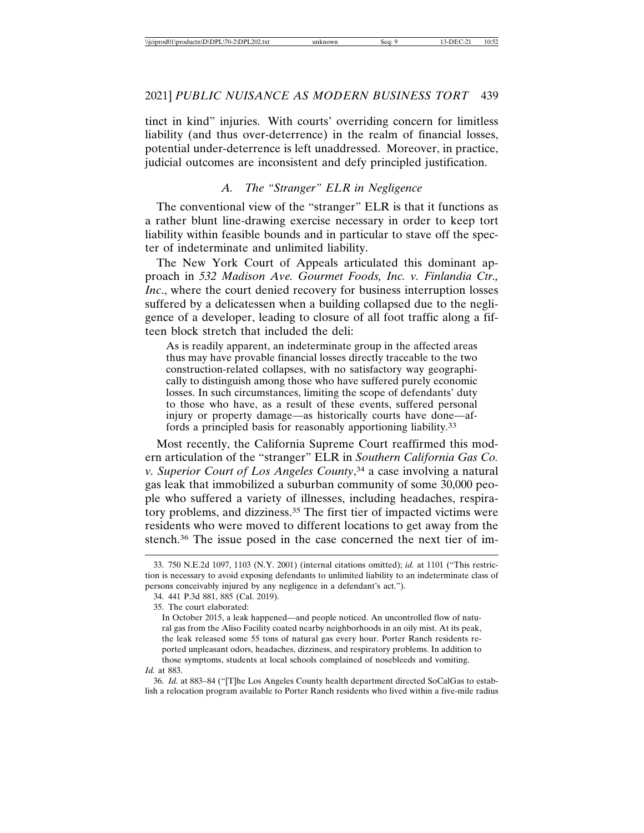tinct in kind" injuries. With courts' overriding concern for limitless liability (and thus over-deterrence) in the realm of financial losses, potential under-deterrence is left unaddressed. Moreover, in practice, judicial outcomes are inconsistent and defy principled justification.

#### *A. The "Stranger" ELR in Negligence*

The conventional view of the "stranger" ELR is that it functions as a rather blunt line-drawing exercise necessary in order to keep tort liability within feasible bounds and in particular to stave off the specter of indeterminate and unlimited liability.

The New York Court of Appeals articulated this dominant approach in *532 Madison Ave. Gourmet Foods, Inc. v. Finlandia Ctr., Inc.*, where the court denied recovery for business interruption losses suffered by a delicatessen when a building collapsed due to the negligence of a developer, leading to closure of all foot traffic along a fifteen block stretch that included the deli:

As is readily apparent, an indeterminate group in the affected areas thus may have provable financial losses directly traceable to the two construction-related collapses, with no satisfactory way geographically to distinguish among those who have suffered purely economic losses. In such circumstances, limiting the scope of defendants' duty to those who have, as a result of these events, suffered personal injury or property damage—as historically courts have done—affords a principled basis for reasonably apportioning liability.33

Most recently, the California Supreme Court reaffirmed this modern articulation of the "stranger" ELR in *Southern California Gas Co. v. Superior Court of Los Angeles County*, 34 a case involving a natural gas leak that immobilized a suburban community of some 30,000 people who suffered a variety of illnesses, including headaches, respiratory problems, and dizziness.35 The first tier of impacted victims were residents who were moved to different locations to get away from the stench.36 The issue posed in the case concerned the next tier of im-

36. *Id.* at 883–84 ("[T]he Los Angeles County health department directed SoCalGas to establish a relocation program available to Porter Ranch residents who lived within a five-mile radius

<sup>33. 750</sup> N.E.2d 1097, 1103 (N.Y. 2001) (internal citations omitted); *id.* at 1101 ("This restriction is necessary to avoid exposing defendants to unlimited liability to an indeterminate class of persons conceivably injured by any negligence in a defendant's act.").

<sup>34. 441</sup> P.3d 881, 885 (Cal. 2019).

<sup>35.</sup> The court elaborated:

In October 2015, a leak happened—and people noticed. An uncontrolled flow of natural gas from the Aliso Facility coated nearby neighborhoods in an oily mist. At its peak, the leak released some 55 tons of natural gas every hour. Porter Ranch residents reported unpleasant odors, headaches, dizziness, and respiratory problems. In addition to those symptoms, students at local schools complained of nosebleeds and vomiting. *Id.* at 883.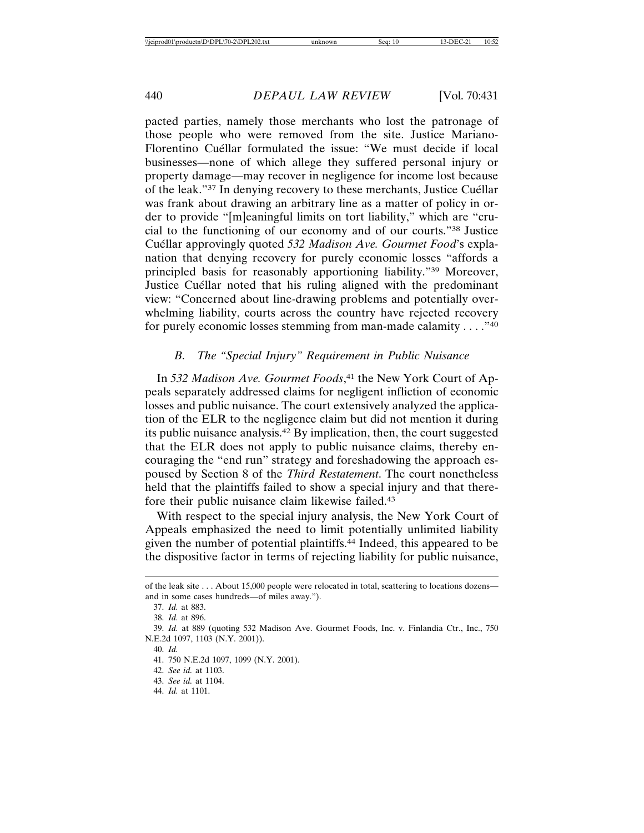pacted parties, namely those merchants who lost the patronage of those people who were removed from the site. Justice Mariano-Florentino Cuéllar formulated the issue: "We must decide if local businesses—none of which allege they suffered personal injury or property damage—may recover in negligence for income lost because of the leak."<sup>37</sup> In denying recovery to these merchants, Justice Cuéllar was frank about drawing an arbitrary line as a matter of policy in order to provide "[m]eaningful limits on tort liability," which are "crucial to the functioning of our economy and of our courts."38 Justice Cuéllar approvingly quoted 532 Madison Ave. Gourmet Food's explanation that denying recovery for purely economic losses "affords a principled basis for reasonably apportioning liability."39 Moreover, Justice Cuéllar noted that his ruling aligned with the predominant view: "Concerned about line-drawing problems and potentially overwhelming liability, courts across the country have rejected recovery for purely economic losses stemming from man-made calamity . . . ."40

# *B. The "Special Injury" Requirement in Public Nuisance*

In *532 Madison Ave. Gourmet Foods*, 41 the New York Court of Appeals separately addressed claims for negligent infliction of economic losses and public nuisance. The court extensively analyzed the application of the ELR to the negligence claim but did not mention it during its public nuisance analysis.42 By implication, then, the court suggested that the ELR does not apply to public nuisance claims, thereby encouraging the "end run" strategy and foreshadowing the approach espoused by Section 8 of the *Third Restatement*. The court nonetheless held that the plaintiffs failed to show a special injury and that therefore their public nuisance claim likewise failed.43

With respect to the special injury analysis, the New York Court of Appeals emphasized the need to limit potentially unlimited liability given the number of potential plaintiffs.44 Indeed, this appeared to be the dispositive factor in terms of rejecting liability for public nuisance,

of the leak site . . . About 15,000 people were relocated in total, scattering to locations dozens and in some cases hundreds—of miles away.").

<sup>37.</sup> *Id.* at 883.

<sup>38.</sup> *Id.* at 896.

<sup>39.</sup> *Id.* at 889 (quoting 532 Madison Ave. Gourmet Foods, Inc. v. Finlandia Ctr., Inc., 750 N.E.2d 1097, 1103 (N.Y. 2001)).

<sup>40.</sup> *Id.*

<sup>41. 750</sup> N.E.2d 1097, 1099 (N.Y. 2001).

<sup>42.</sup> *See id.* at 1103.

<sup>43.</sup> *See id.* at 1104.

<sup>44.</sup> *Id.* at 1101.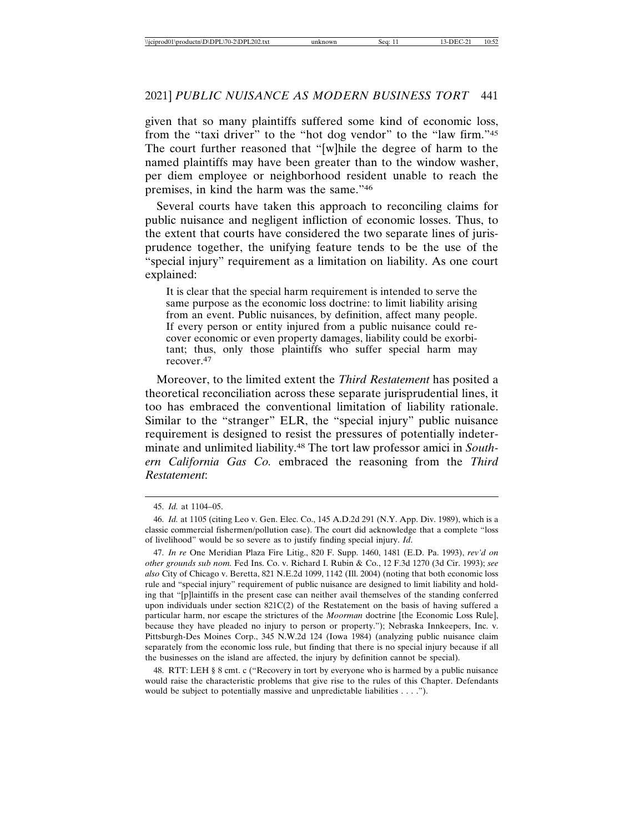given that so many plaintiffs suffered some kind of economic loss, from the "taxi driver" to the "hot dog vendor" to the "law firm."45 The court further reasoned that "[w]hile the degree of harm to the named plaintiffs may have been greater than to the window washer, per diem employee or neighborhood resident unable to reach the premises, in kind the harm was the same."46

Several courts have taken this approach to reconciling claims for public nuisance and negligent infliction of economic losses. Thus, to the extent that courts have considered the two separate lines of jurisprudence together, the unifying feature tends to be the use of the "special injury" requirement as a limitation on liability. As one court explained:

It is clear that the special harm requirement is intended to serve the same purpose as the economic loss doctrine: to limit liability arising from an event. Public nuisances, by definition, affect many people. If every person or entity injured from a public nuisance could recover economic or even property damages, liability could be exorbitant; thus, only those plaintiffs who suffer special harm may recover.<sup>47</sup>

Moreover, to the limited extent the *Third Restatement* has posited a theoretical reconciliation across these separate jurisprudential lines, it too has embraced the conventional limitation of liability rationale. Similar to the "stranger" ELR, the "special injury" public nuisance requirement is designed to resist the pressures of potentially indeterminate and unlimited liability.48 The tort law professor amici in *Southern California Gas Co.* embraced the reasoning from the *Third Restatement*:

48. RTT: LEH § 8 cmt. c ("Recovery in tort by everyone who is harmed by a public nuisance would raise the characteristic problems that give rise to the rules of this Chapter. Defendants would be subject to potentially massive and unpredictable liabilities . . . .").

<sup>45.</sup> *Id.* at 1104–05.

<sup>46.</sup> *Id.* at 1105 (citing Leo v. Gen. Elec. Co., 145 A.D.2d 291 (N.Y. App. Div. 1989), which is a classic commercial fishermen/pollution case). The court did acknowledge that a complete "loss of livelihood" would be so severe as to justify finding special injury. *Id*.

<sup>47.</sup> *In re* One Meridian Plaza Fire Litig., 820 F. Supp. 1460, 1481 (E.D. Pa. 1993), *rev'd on other grounds sub nom.* Fed Ins. Co. v. Richard I. Rubin & Co., 12 F.3d 1270 (3d Cir. 1993); *see also* City of Chicago v. Beretta, 821 N.E.2d 1099, 1142 (Ill. 2004) (noting that both economic loss rule and "special injury" requirement of public nuisance are designed to limit liability and holding that "[p]laintiffs in the present case can neither avail themselves of the standing conferred upon individuals under section 821C(2) of the Restatement on the basis of having suffered a particular harm, nor escape the strictures of the *Moorman* doctrine [the Economic Loss Rule], because they have pleaded no injury to person or property."); Nebraska Innkeepers, Inc. v. Pittsburgh-Des Moines Corp., 345 N.W.2d 124 (Iowa 1984) (analyzing public nuisance claim separately from the economic loss rule, but finding that there is no special injury because if all the businesses on the island are affected, the injury by definition cannot be special).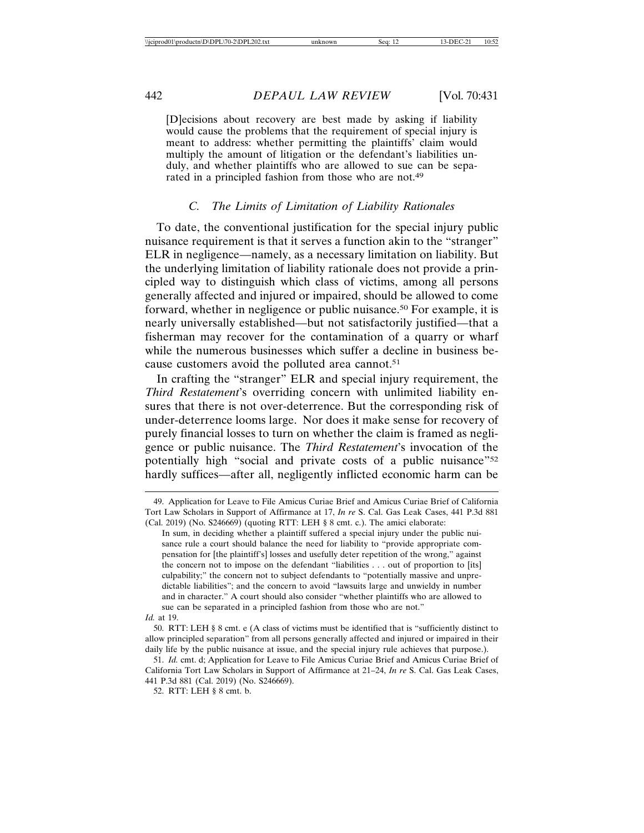[D]ecisions about recovery are best made by asking if liability would cause the problems that the requirement of special injury is meant to address: whether permitting the plaintiffs' claim would multiply the amount of litigation or the defendant's liabilities unduly, and whether plaintiffs who are allowed to sue can be separated in a principled fashion from those who are not.49

#### *C. The Limits of Limitation of Liability Rationales*

To date, the conventional justification for the special injury public nuisance requirement is that it serves a function akin to the "stranger" ELR in negligence—namely, as a necessary limitation on liability. But the underlying limitation of liability rationale does not provide a principled way to distinguish which class of victims, among all persons generally affected and injured or impaired, should be allowed to come forward, whether in negligence or public nuisance.50 For example, it is nearly universally established—but not satisfactorily justified—that a fisherman may recover for the contamination of a quarry or wharf while the numerous businesses which suffer a decline in business because customers avoid the polluted area cannot.<sup>51</sup>

In crafting the "stranger" ELR and special injury requirement, the *Third Restatement*'s overriding concern with unlimited liability ensures that there is not over-deterrence. But the corresponding risk of under-deterrence looms large. Nor does it make sense for recovery of purely financial losses to turn on whether the claim is framed as negligence or public nuisance. The *Third Restatement*'s invocation of the potentially high "social and private costs of a public nuisance"52 hardly suffices—after all, negligently inflicted economic harm can be

<sup>49.</sup> Application for Leave to File Amicus Curiae Brief and Amicus Curiae Brief of California Tort Law Scholars in Support of Affirmance at 17, *In re* S. Cal. Gas Leak Cases, 441 P.3d 881 (Cal. 2019) (No. S246669) (quoting RTT: LEH § 8 cmt. c.). The amici elaborate:

In sum, in deciding whether a plaintiff suffered a special injury under the public nuisance rule a court should balance the need for liability to "provide appropriate compensation for [the plaintiff's] losses and usefully deter repetition of the wrong," against the concern not to impose on the defendant "liabilities . . . out of proportion to [its] culpability;" the concern not to subject defendants to "potentially massive and unpredictable liabilities"; and the concern to avoid "lawsuits large and unwieldy in number and in character." A court should also consider "whether plaintiffs who are allowed to sue can be separated in a principled fashion from those who are not."

*Id.* at 19.

<sup>50.</sup> RTT: LEH § 8 cmt. e (A class of victims must be identified that is "sufficiently distinct to allow principled separation" from all persons generally affected and injured or impaired in their daily life by the public nuisance at issue, and the special injury rule achieves that purpose.).

<sup>51.</sup> *Id.* cmt. d; Application for Leave to File Amicus Curiae Brief and Amicus Curiae Brief of California Tort Law Scholars in Support of Affirmance at 21–24, *In re* S. Cal. Gas Leak Cases, 441 P.3d 881 (Cal. 2019) (No. S246669).

<sup>52.</sup> RTT: LEH § 8 cmt. b.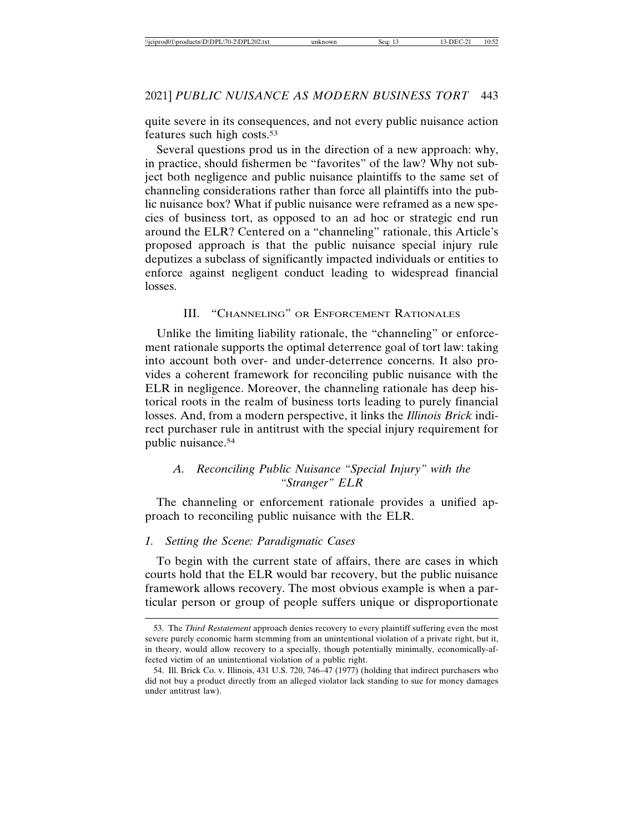quite severe in its consequences, and not every public nuisance action features such high costs.53

Several questions prod us in the direction of a new approach: why, in practice, should fishermen be "favorites" of the law? Why not subject both negligence and public nuisance plaintiffs to the same set of channeling considerations rather than force all plaintiffs into the public nuisance box? What if public nuisance were reframed as a new species of business tort, as opposed to an ad hoc or strategic end run around the ELR? Centered on a "channeling" rationale, this Article's proposed approach is that the public nuisance special injury rule deputizes a subclass of significantly impacted individuals or entities to enforce against negligent conduct leading to widespread financial losses.

#### III. "CHANNELING" OR ENFORCEMENT RATIONALES

Unlike the limiting liability rationale, the "channeling" or enforcement rationale supports the optimal deterrence goal of tort law: taking into account both over- and under-deterrence concerns. It also provides a coherent framework for reconciling public nuisance with the ELR in negligence. Moreover, the channeling rationale has deep historical roots in the realm of business torts leading to purely financial losses. And, from a modern perspective, it links the *Illinois Brick* indirect purchaser rule in antitrust with the special injury requirement for public nuisance.54

# *A. Reconciling Public Nuisance "Special Injury" with the "Stranger" ELR*

The channeling or enforcement rationale provides a unified approach to reconciling public nuisance with the ELR.

#### *1. Setting the Scene: Paradigmatic Cases*

To begin with the current state of affairs, there are cases in which courts hold that the ELR would bar recovery, but the public nuisance framework allows recovery. The most obvious example is when a particular person or group of people suffers unique or disproportionate

<sup>53.</sup> The *Third Restatement* approach denies recovery to every plaintiff suffering even the most severe purely economic harm stemming from an unintentional violation of a private right, but it, in theory, would allow recovery to a specially, though potentially minimally, economically-affected victim of an unintentional violation of a public right.

<sup>54.</sup> Ill. Brick Co. v. Illinois, 431 U.S. 720, 746–47 (1977) (holding that indirect purchasers who did not buy a product directly from an alleged violator lack standing to sue for money damages under antitrust law).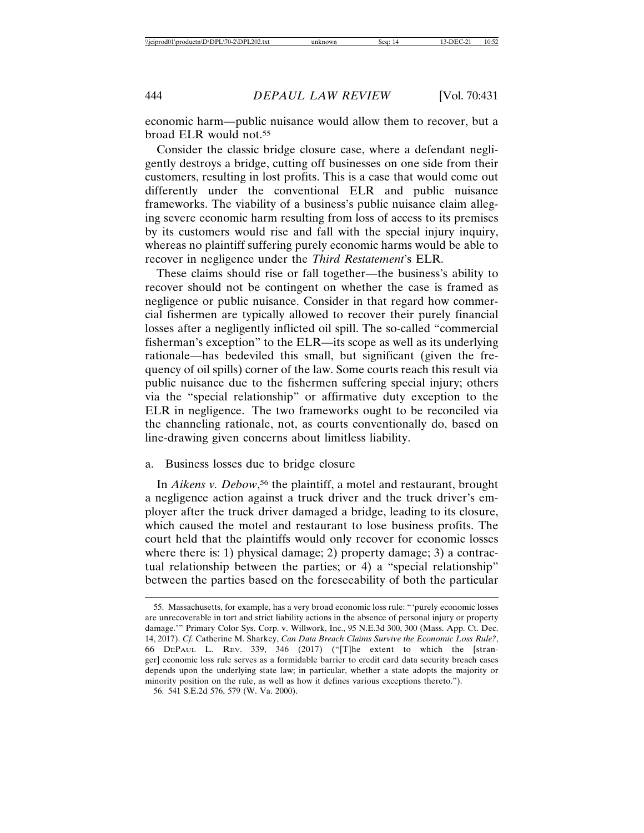economic harm—public nuisance would allow them to recover, but a broad ELR would not.55

Consider the classic bridge closure case, where a defendant negligently destroys a bridge, cutting off businesses on one side from their customers, resulting in lost profits. This is a case that would come out differently under the conventional ELR and public nuisance frameworks. The viability of a business's public nuisance claim alleging severe economic harm resulting from loss of access to its premises by its customers would rise and fall with the special injury inquiry, whereas no plaintiff suffering purely economic harms would be able to recover in negligence under the *Third Restatement*'s ELR.

These claims should rise or fall together—the business's ability to recover should not be contingent on whether the case is framed as negligence or public nuisance. Consider in that regard how commercial fishermen are typically allowed to recover their purely financial losses after a negligently inflicted oil spill. The so-called "commercial fisherman's exception" to the ELR—its scope as well as its underlying rationale—has bedeviled this small, but significant (given the frequency of oil spills) corner of the law. Some courts reach this result via public nuisance due to the fishermen suffering special injury; others via the "special relationship" or affirmative duty exception to the ELR in negligence. The two frameworks ought to be reconciled via the channeling rationale, not, as courts conventionally do, based on line-drawing given concerns about limitless liability.

#### a. Business losses due to bridge closure

In *Aikens v. Debow*, 56 the plaintiff, a motel and restaurant, brought a negligence action against a truck driver and the truck driver's employer after the truck driver damaged a bridge, leading to its closure, which caused the motel and restaurant to lose business profits. The court held that the plaintiffs would only recover for economic losses where there is: 1) physical damage; 2) property damage; 3) a contractual relationship between the parties; or 4) a "special relationship" between the parties based on the foreseeability of both the particular

<sup>55.</sup> Massachusetts, for example, has a very broad economic loss rule: "'purely economic losses are unrecoverable in tort and strict liability actions in the absence of personal injury or property damage.'" Primary Color Sys. Corp. v. Willwork, Inc., 95 N.E.3d 300, 300 (Mass. App. Ct. Dec. 14, 2017). *Cf.* Catherine M. Sharkey, *Can Data Breach Claims Survive the Economic Loss Rule?*, 66 DEPAUL L. REV. 339, 346 (2017) ("[T]he extent to which the [stranger] economic loss rule serves as a formidable barrier to credit card data security breach cases depends upon the underlying state law; in particular, whether a state adopts the majority or minority position on the rule, as well as how it defines various exceptions thereto."). 56. 541 S.E.2d 576, 579 (W. Va. 2000).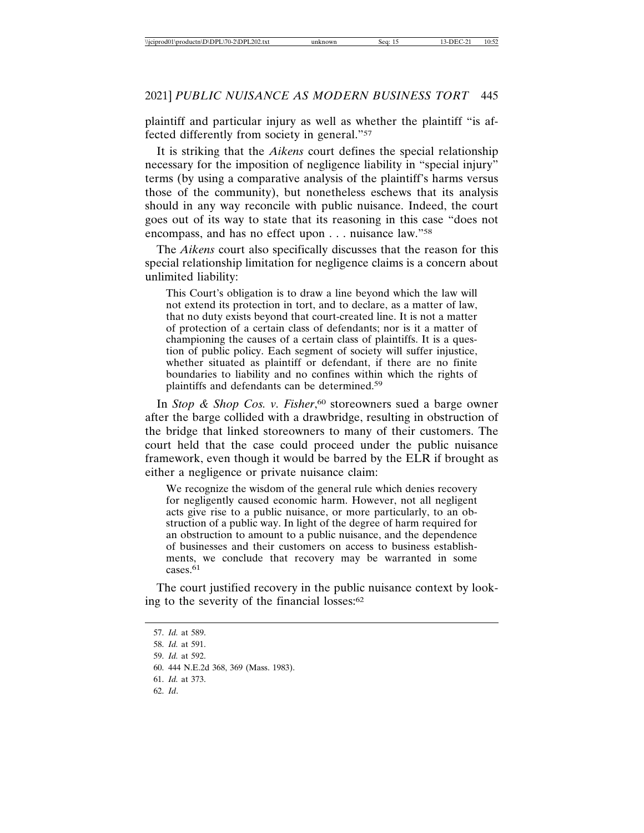plaintiff and particular injury as well as whether the plaintiff "is affected differently from society in general."57

It is striking that the *Aikens* court defines the special relationship necessary for the imposition of negligence liability in "special injury" terms (by using a comparative analysis of the plaintiff's harms versus those of the community), but nonetheless eschews that its analysis should in any way reconcile with public nuisance. Indeed, the court goes out of its way to state that its reasoning in this case "does not encompass, and has no effect upon . . . nuisance law."58

The *Aikens* court also specifically discusses that the reason for this special relationship limitation for negligence claims is a concern about unlimited liability:

This Court's obligation is to draw a line beyond which the law will not extend its protection in tort, and to declare, as a matter of law, that no duty exists beyond that court-created line. It is not a matter of protection of a certain class of defendants; nor is it a matter of championing the causes of a certain class of plaintiffs. It is a question of public policy. Each segment of society will suffer injustice, whether situated as plaintiff or defendant, if there are no finite boundaries to liability and no confines within which the rights of plaintiffs and defendants can be determined.59

In *Stop & Shop Cos. v. Fisher*, 60 storeowners sued a barge owner after the barge collided with a drawbridge, resulting in obstruction of the bridge that linked storeowners to many of their customers. The court held that the case could proceed under the public nuisance framework, even though it would be barred by the ELR if brought as either a negligence or private nuisance claim:

We recognize the wisdom of the general rule which denies recovery for negligently caused economic harm. However, not all negligent acts give rise to a public nuisance, or more particularly, to an obstruction of a public way. In light of the degree of harm required for an obstruction to amount to a public nuisance, and the dependence of businesses and their customers on access to business establishments, we conclude that recovery may be warranted in some cases.<sup>61</sup>

The court justified recovery in the public nuisance context by looking to the severity of the financial losses:62

62. *Id*.

<sup>57.</sup> *Id.* at 589.

<sup>58.</sup> *Id.* at 591.

<sup>59.</sup> *Id.* at 592.

<sup>60. 444</sup> N.E.2d 368, 369 (Mass. 1983).

<sup>61.</sup> *Id.* at 373.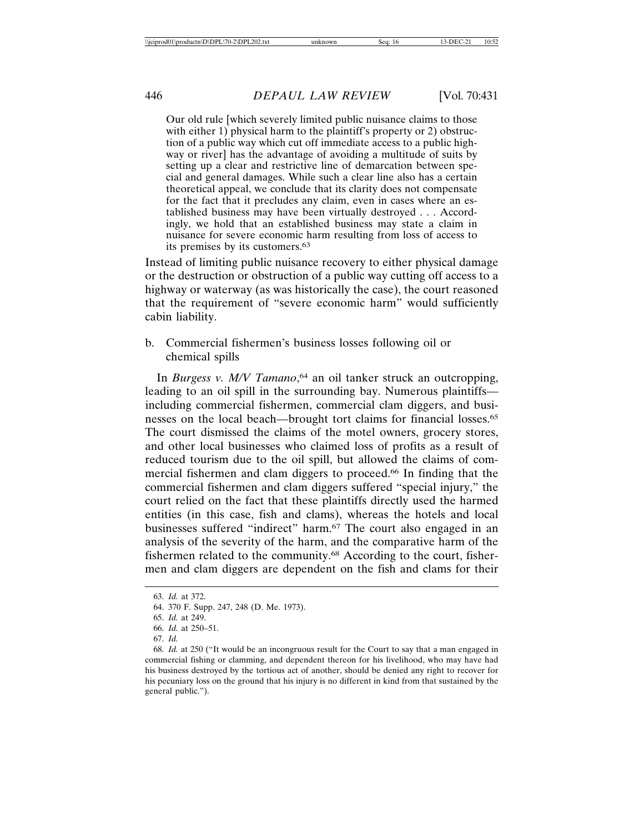Our old rule [which severely limited public nuisance claims to those with either 1) physical harm to the plaintiff's property or 2) obstruction of a public way which cut off immediate access to a public highway or river] has the advantage of avoiding a multitude of suits by setting up a clear and restrictive line of demarcation between special and general damages. While such a clear line also has a certain theoretical appeal, we conclude that its clarity does not compensate for the fact that it precludes any claim, even in cases where an established business may have been virtually destroyed . . . Accordingly, we hold that an established business may state a claim in nuisance for severe economic harm resulting from loss of access to its premises by its customers.63

Instead of limiting public nuisance recovery to either physical damage or the destruction or obstruction of a public way cutting off access to a highway or waterway (as was historically the case), the court reasoned that the requirement of "severe economic harm" would sufficiently cabin liability.

b. Commercial fishermen's business losses following oil or chemical spills

In *Burgess v. M/V Tamano*, 64 an oil tanker struck an outcropping, leading to an oil spill in the surrounding bay. Numerous plaintiffs including commercial fishermen, commercial clam diggers, and businesses on the local beach—brought tort claims for financial losses.65 The court dismissed the claims of the motel owners, grocery stores, and other local businesses who claimed loss of profits as a result of reduced tourism due to the oil spill, but allowed the claims of commercial fishermen and clam diggers to proceed.66 In finding that the commercial fishermen and clam diggers suffered "special injury," the court relied on the fact that these plaintiffs directly used the harmed entities (in this case, fish and clams), whereas the hotels and local businesses suffered "indirect" harm.67 The court also engaged in an analysis of the severity of the harm, and the comparative harm of the fishermen related to the community.68 According to the court, fishermen and clam diggers are dependent on the fish and clams for their

67. *Id.*

<sup>63.</sup> *Id.* at 372.

<sup>64. 370</sup> F. Supp. 247, 248 (D. Me. 1973).

<sup>65.</sup> *Id.* at 249.

<sup>66.</sup> *Id.* at 250–51.

<sup>68.</sup> *Id.* at 250 ("It would be an incongruous result for the Court to say that a man engaged in commercial fishing or clamming, and dependent thereon for his livelihood, who may have had his business destroyed by the tortious act of another, should be denied any right to recover for his pecuniary loss on the ground that his injury is no different in kind from that sustained by the general public.").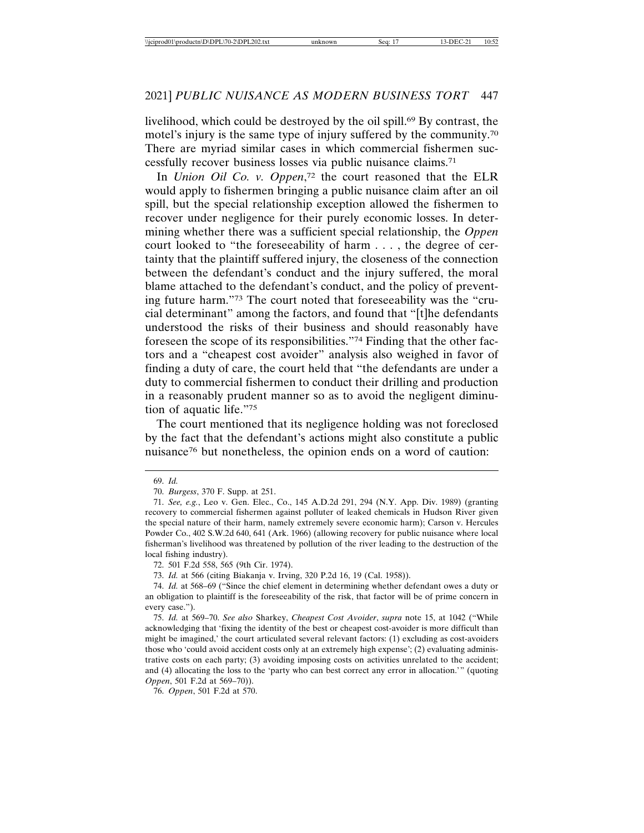livelihood, which could be destroyed by the oil spill.<sup>69</sup> By contrast, the motel's injury is the same type of injury suffered by the community.70 There are myriad similar cases in which commercial fishermen successfully recover business losses via public nuisance claims.71

In *Union Oil Co. v. Oppen*, 72 the court reasoned that the ELR would apply to fishermen bringing a public nuisance claim after an oil spill, but the special relationship exception allowed the fishermen to recover under negligence for their purely economic losses. In determining whether there was a sufficient special relationship, the *Oppen* court looked to "the foreseeability of harm . . . , the degree of certainty that the plaintiff suffered injury, the closeness of the connection between the defendant's conduct and the injury suffered, the moral blame attached to the defendant's conduct, and the policy of preventing future harm."73 The court noted that foreseeability was the "crucial determinant" among the factors, and found that "[t]he defendants understood the risks of their business and should reasonably have foreseen the scope of its responsibilities."74 Finding that the other factors and a "cheapest cost avoider" analysis also weighed in favor of finding a duty of care, the court held that "the defendants are under a duty to commercial fishermen to conduct their drilling and production in a reasonably prudent manner so as to avoid the negligent diminution of aquatic life."75

The court mentioned that its negligence holding was not foreclosed by the fact that the defendant's actions might also constitute a public nuisance76 but nonetheless, the opinion ends on a word of caution:

69. *Id.*

73. *Id.* at 566 (citing Biakanja v. Irving, 320 P.2d 16, 19 (Cal. 1958)).

<sup>70.</sup> *Burgess*, 370 F. Supp. at 251.

<sup>71.</sup> *See, e.g.*, Leo v. Gen. Elec., Co., 145 A.D.2d 291, 294 (N.Y. App. Div. 1989) (granting recovery to commercial fishermen against polluter of leaked chemicals in Hudson River given the special nature of their harm, namely extremely severe economic harm); Carson v. Hercules Powder Co., 402 S.W.2d 640, 641 (Ark. 1966) (allowing recovery for public nuisance where local fisherman's livelihood was threatened by pollution of the river leading to the destruction of the local fishing industry).

<sup>72. 501</sup> F.2d 558, 565 (9th Cir. 1974).

<sup>74.</sup> *Id.* at 568–69 ("Since the chief element in determining whether defendant owes a duty or an obligation to plaintiff is the foreseeability of the risk, that factor will be of prime concern in every case.").

<sup>75.</sup> *Id.* at 569–70. *See also* Sharkey, *Cheapest Cost Avoider*, *supra* note 15, at 1042 ("While acknowledging that 'fixing the identity of the best or cheapest cost-avoider is more difficult than might be imagined,' the court articulated several relevant factors: (1) excluding as cost-avoiders those who 'could avoid accident costs only at an extremely high expense'; (2) evaluating administrative costs on each party; (3) avoiding imposing costs on activities unrelated to the accident; and (4) allocating the loss to the 'party who can best correct any error in allocation.'" (quoting *Oppen*, 501 F.2d at 569–70)).

<sup>76.</sup> *Oppen*, 501 F.2d at 570.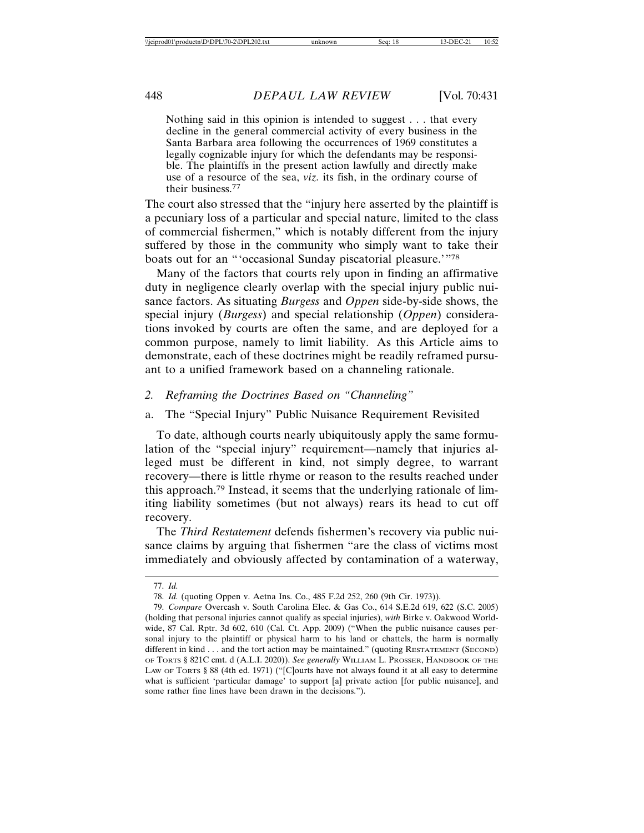Nothing said in this opinion is intended to suggest . . . that every decline in the general commercial activity of every business in the Santa Barbara area following the occurrences of 1969 constitutes a legally cognizable injury for which the defendants may be responsible. The plaintiffs in the present action lawfully and directly make use of a resource of the sea, *viz.* its fish, in the ordinary course of their business.77

The court also stressed that the "injury here asserted by the plaintiff is a pecuniary loss of a particular and special nature, limited to the class of commercial fishermen," which is notably different from the injury suffered by those in the community who simply want to take their boats out for an "'occasional Sunday piscatorial pleasure.'"78

Many of the factors that courts rely upon in finding an affirmative duty in negligence clearly overlap with the special injury public nuisance factors. As situating *Burgess* and *Oppen* side-by-side shows, the special injury (*Burgess*) and special relationship (*Oppen*) considerations invoked by courts are often the same, and are deployed for a common purpose, namely to limit liability. As this Article aims to demonstrate, each of these doctrines might be readily reframed pursuant to a unified framework based on a channeling rationale.

# *2. Reframing the Doctrines Based on "Channeling"*

#### a. The "Special Injury" Public Nuisance Requirement Revisited

To date, although courts nearly ubiquitously apply the same formulation of the "special injury" requirement—namely that injuries alleged must be different in kind, not simply degree, to warrant recovery—there is little rhyme or reason to the results reached under this approach.79 Instead, it seems that the underlying rationale of limiting liability sometimes (but not always) rears its head to cut off recovery.

The *Third Restatement* defends fishermen's recovery via public nuisance claims by arguing that fishermen "are the class of victims most immediately and obviously affected by contamination of a waterway,

<sup>77.</sup> *Id.*

<sup>78.</sup> *Id.* (quoting Oppen v. Aetna Ins. Co., 485 F.2d 252, 260 (9th Cir. 1973)).

<sup>79.</sup> *Compare* Overcash v. South Carolina Elec. & Gas Co., 614 S.E.2d 619, 622 (S.C. 2005) (holding that personal injuries cannot qualify as special injuries), *with* Birke v. Oakwood Worldwide, 87 Cal. Rptr. 3d 602, 610 (Cal. Ct. App. 2009) ("When the public nuisance causes personal injury to the plaintiff or physical harm to his land or chattels, the harm is normally different in kind . . . and the tort action may be maintained." (quoting RESTATEMENT (SECOND) OF TORTS § 821C cmt. d (A.L.I. 2020)). *See generally* WILLIAM L. PROSSER, HANDBOOK OF THE LAW OF TORTS § 88 (4th ed. 1971) ("[C]ourts have not always found it at all easy to determine what is sufficient 'particular damage' to support [a] private action [for public nuisance], and some rather fine lines have been drawn in the decisions.").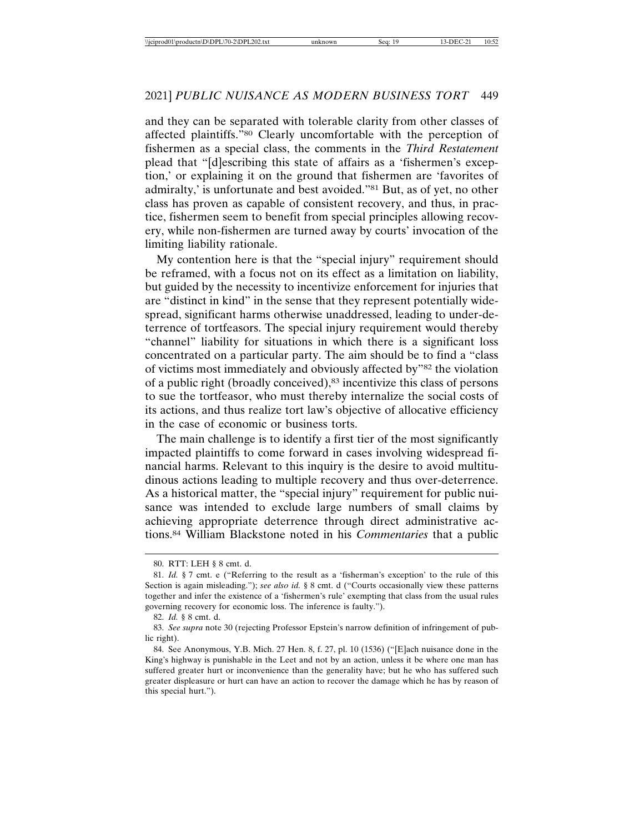and they can be separated with tolerable clarity from other classes of affected plaintiffs."80 Clearly uncomfortable with the perception of fishermen as a special class, the comments in the *Third Restatement* plead that "[d]escribing this state of affairs as a 'fishermen's exception,' or explaining it on the ground that fishermen are 'favorites of admiralty,' is unfortunate and best avoided."81 But, as of yet, no other class has proven as capable of consistent recovery, and thus, in practice, fishermen seem to benefit from special principles allowing recovery, while non-fishermen are turned away by courts' invocation of the limiting liability rationale.

My contention here is that the "special injury" requirement should be reframed, with a focus not on its effect as a limitation on liability, but guided by the necessity to incentivize enforcement for injuries that are "distinct in kind" in the sense that they represent potentially widespread, significant harms otherwise unaddressed, leading to under-deterrence of tortfeasors. The special injury requirement would thereby "channel" liability for situations in which there is a significant loss concentrated on a particular party. The aim should be to find a "class of victims most immediately and obviously affected by"82 the violation of a public right (broadly conceived),83 incentivize this class of persons to sue the tortfeasor, who must thereby internalize the social costs of its actions, and thus realize tort law's objective of allocative efficiency in the case of economic or business torts.

The main challenge is to identify a first tier of the most significantly impacted plaintiffs to come forward in cases involving widespread financial harms. Relevant to this inquiry is the desire to avoid multitudinous actions leading to multiple recovery and thus over-deterrence. As a historical matter, the "special injury" requirement for public nuisance was intended to exclude large numbers of small claims by achieving appropriate deterrence through direct administrative actions.84 William Blackstone noted in his *Commentaries* that a public

<sup>80.</sup> RTT: LEH § 8 cmt. d.

<sup>81.</sup> *Id.* § 7 cmt. e ("Referring to the result as a 'fisherman's exception' to the rule of this Section is again misleading."); *see also id.* § 8 cmt. d ("Courts occasionally view these patterns together and infer the existence of a 'fishermen's rule' exempting that class from the usual rules governing recovery for economic loss. The inference is faulty.").

<sup>82.</sup> *Id.* § 8 cmt. d.

<sup>83.</sup> *See supra* note 30 (rejecting Professor Epstein's narrow definition of infringement of public right).

<sup>84.</sup> See Anonymous, Y.B. Mich. 27 Hen. 8, f. 27, pl. 10 (1536) ("[E]ach nuisance done in the King's highway is punishable in the Leet and not by an action, unless it be where one man has suffered greater hurt or inconvenience than the generality have; but he who has suffered such greater displeasure or hurt can have an action to recover the damage which he has by reason of this special hurt.").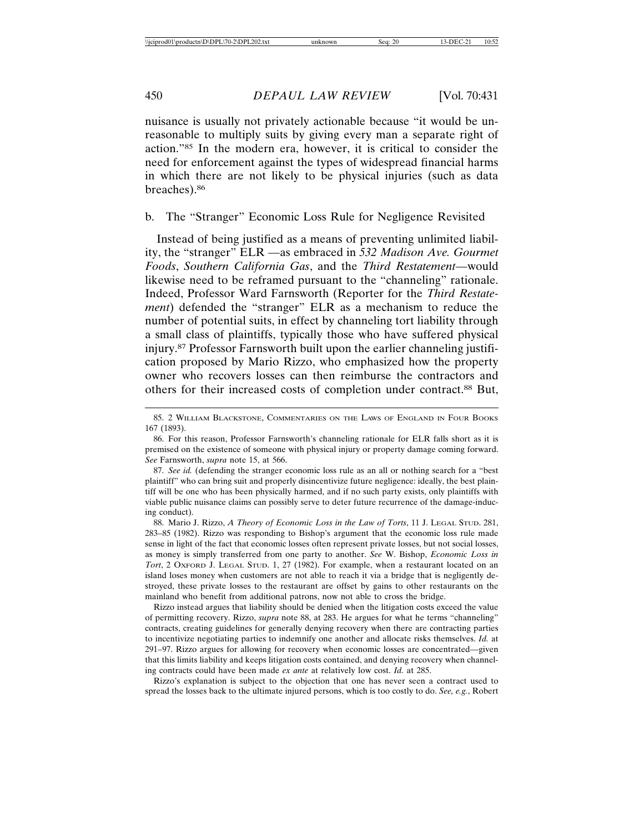nuisance is usually not privately actionable because "it would be unreasonable to multiply suits by giving every man a separate right of action."85 In the modern era, however, it is critical to consider the need for enforcement against the types of widespread financial harms in which there are not likely to be physical injuries (such as data breaches).86

# b. The "Stranger" Economic Loss Rule for Negligence Revisited

Instead of being justified as a means of preventing unlimited liability, the "stranger" ELR —as embraced in *532 Madison Ave. Gourmet Foods*, *Southern California Gas*, and the *Third Restatement*—would likewise need to be reframed pursuant to the "channeling" rationale. Indeed, Professor Ward Farnsworth (Reporter for the *Third Restatement*) defended the "stranger" ELR as a mechanism to reduce the number of potential suits, in effect by channeling tort liability through a small class of plaintiffs, typically those who have suffered physical injury.87 Professor Farnsworth built upon the earlier channeling justification proposed by Mario Rizzo, who emphasized how the property owner who recovers losses can then reimburse the contractors and others for their increased costs of completion under contract.88 But,

88. Mario J. Rizzo, *A Theory of Economic Loss in the Law of Torts*, 11 J. LEGAL STUD. 281, 283–85 (1982). Rizzo was responding to Bishop's argument that the economic loss rule made sense in light of the fact that economic losses often represent private losses, but not social losses, as money is simply transferred from one party to another. *See* W. Bishop, *Economic Loss in Tort*, 2 OxFORD J. LEGAL STUD. 1, 27 (1982). For example, when a restaurant located on an island loses money when customers are not able to reach it via a bridge that is negligently destroyed, these private losses to the restaurant are offset by gains to other restaurants on the mainland who benefit from additional patrons, now not able to cross the bridge.

Rizzo instead argues that liability should be denied when the litigation costs exceed the value of permitting recovery. Rizzo, *supra* note 88, at 283. He argues for what he terms "channeling" contracts, creating guidelines for generally denying recovery when there are contracting parties to incentivize negotiating parties to indemnify one another and allocate risks themselves. *Id.* at 291–97. Rizzo argues for allowing for recovery when economic losses are concentrated—given that this limits liability and keeps litigation costs contained, and denying recovery when channeling contracts could have been made *ex ante* at relatively low cost. *Id.* at 285.

Rizzo's explanation is subject to the objection that one has never seen a contract used to spread the losses back to the ultimate injured persons, which is too costly to do. *See, e.g.*, Robert

<sup>85. 2</sup> WILLIAM BLACKSTONE, COMMENTARIES ON THE LAWS OF ENGLAND IN FOUR BOOKS 167 (1893).

<sup>86.</sup> For this reason, Professor Farnsworth's channeling rationale for ELR falls short as it is premised on the existence of someone with physical injury or property damage coming forward. *See* Farnsworth, *supra* note 15, at 566.

<sup>87.</sup> *See id.* (defending the stranger economic loss rule as an all or nothing search for a "best plaintiff" who can bring suit and properly disincentivize future negligence: ideally, the best plaintiff will be one who has been physically harmed, and if no such party exists, only plaintiffs with viable public nuisance claims can possibly serve to deter future recurrence of the damage-inducing conduct).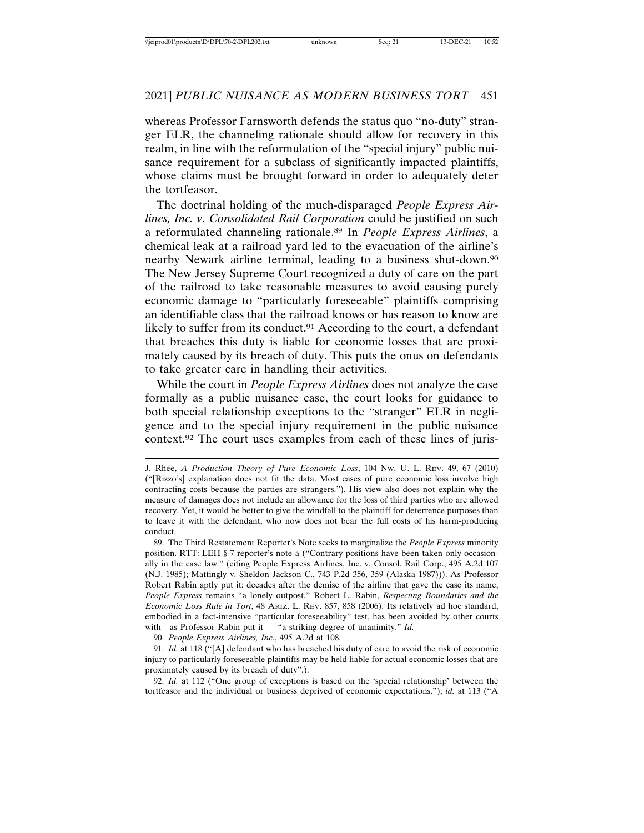whereas Professor Farnsworth defends the status quo "no-duty" stranger ELR, the channeling rationale should allow for recovery in this realm, in line with the reformulation of the "special injury" public nuisance requirement for a subclass of significantly impacted plaintiffs, whose claims must be brought forward in order to adequately deter the tortfeasor.

The doctrinal holding of the much-disparaged *People Express Airlines, Inc. v. Consolidated Rail Corporation* could be justified on such a reformulated channeling rationale.89 In *People Express Airlines*, a chemical leak at a railroad yard led to the evacuation of the airline's nearby Newark airline terminal, leading to a business shut-down.90 The New Jersey Supreme Court recognized a duty of care on the part of the railroad to take reasonable measures to avoid causing purely economic damage to "particularly foreseeable" plaintiffs comprising an identifiable class that the railroad knows or has reason to know are likely to suffer from its conduct.<sup>91</sup> According to the court, a defendant that breaches this duty is liable for economic losses that are proximately caused by its breach of duty. This puts the onus on defendants to take greater care in handling their activities.

While the court in *People Express Airlines* does not analyze the case formally as a public nuisance case, the court looks for guidance to both special relationship exceptions to the "stranger" ELR in negligence and to the special injury requirement in the public nuisance context.92 The court uses examples from each of these lines of juris-

90. *People Express Airlines, Inc.*, 495 A.2d at 108.

91. *Id.* at 118 ("[A] defendant who has breached his duty of care to avoid the risk of economic injury to particularly foreseeable plaintiffs may be held liable for actual economic losses that are proximately caused by its breach of duty".).

92. *Id.* at 112 ("One group of exceptions is based on the 'special relationship' between the tortfeasor and the individual or business deprived of economic expectations."); *id.* at 113 ("A

J. Rhee, *A Production Theory of Pure Economic Loss*, 104 NW. U. L. REV. 49, 67 (2010) ("[Rizzo's] explanation does not fit the data. Most cases of pure economic loss involve high contracting costs because the parties are strangers."). His view also does not explain why the measure of damages does not include an allowance for the loss of third parties who are allowed recovery. Yet, it would be better to give the windfall to the plaintiff for deterrence purposes than to leave it with the defendant, who now does not bear the full costs of his harm-producing conduct.

<sup>89.</sup> The Third Restatement Reporter's Note seeks to marginalize the *People Express* minority position. RTT: LEH § 7 reporter's note a ("Contrary positions have been taken only occasionally in the case law." (citing People Express Airlines, Inc. v. Consol. Rail Corp., 495 A.2d 107 (N.J. 1985); Mattingly v. Sheldon Jackson C., 743 P.2d 356, 359 (Alaska 1987))). As Professor Robert Rabin aptly put it: decades after the demise of the airline that gave the case its name, *People Express* remains "a lonely outpost." Robert L. Rabin, *Respecting Boundaries and the Economic Loss Rule in Tort*, 48 ARIZ. L. REV. 857, 858 (2006). Its relatively ad hoc standard, embodied in a fact-intensive "particular foreseeability" test, has been avoided by other courts with—as Professor Rabin put it — "a striking degree of unanimity." *Id.*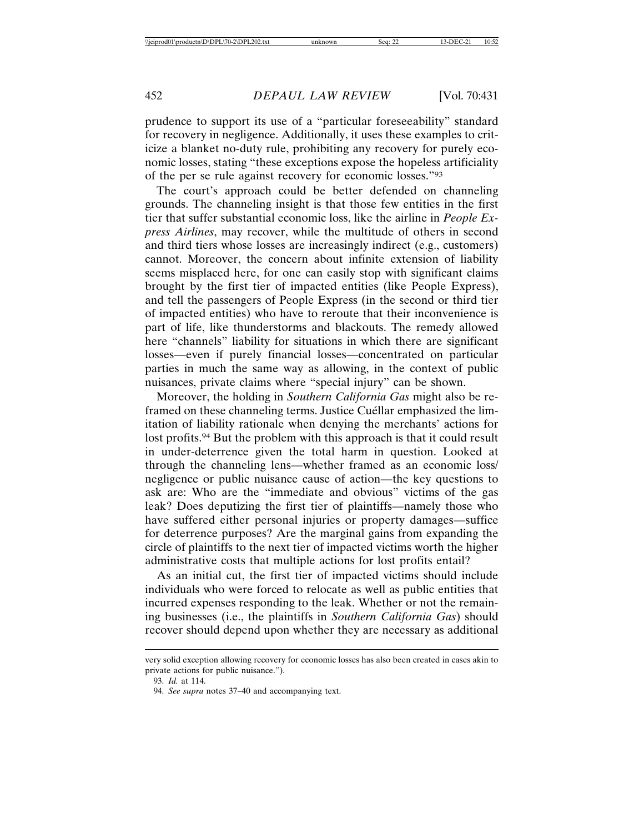prudence to support its use of a "particular foreseeability" standard for recovery in negligence. Additionally, it uses these examples to criticize a blanket no-duty rule, prohibiting any recovery for purely economic losses, stating "these exceptions expose the hopeless artificiality of the per se rule against recovery for economic losses."93

The court's approach could be better defended on channeling grounds. The channeling insight is that those few entities in the first tier that suffer substantial economic loss, like the airline in *People Express Airlines*, may recover, while the multitude of others in second and third tiers whose losses are increasingly indirect (e.g., customers) cannot. Moreover, the concern about infinite extension of liability seems misplaced here, for one can easily stop with significant claims brought by the first tier of impacted entities (like People Express), and tell the passengers of People Express (in the second or third tier of impacted entities) who have to reroute that their inconvenience is part of life, like thunderstorms and blackouts. The remedy allowed here "channels" liability for situations in which there are significant losses—even if purely financial losses—concentrated on particular parties in much the same way as allowing, in the context of public nuisances, private claims where "special injury" can be shown.

Moreover, the holding in *Southern California Gas* might also be reframed on these channeling terms. Justice Cuéllar emphasized the limitation of liability rationale when denying the merchants' actions for lost profits.94 But the problem with this approach is that it could result in under-deterrence given the total harm in question. Looked at through the channeling lens—whether framed as an economic loss/ negligence or public nuisance cause of action—the key questions to ask are: Who are the "immediate and obvious" victims of the gas leak? Does deputizing the first tier of plaintiffs—namely those who have suffered either personal injuries or property damages—suffice for deterrence purposes? Are the marginal gains from expanding the circle of plaintiffs to the next tier of impacted victims worth the higher administrative costs that multiple actions for lost profits entail?

As an initial cut, the first tier of impacted victims should include individuals who were forced to relocate as well as public entities that incurred expenses responding to the leak. Whether or not the remaining businesses (i.e., the plaintiffs in *Southern California Gas*) should recover should depend upon whether they are necessary as additional

very solid exception allowing recovery for economic losses has also been created in cases akin to private actions for public nuisance.").

<sup>93.</sup> *Id.* at 114.

<sup>94.</sup> *See supra* notes 37–40 and accompanying text.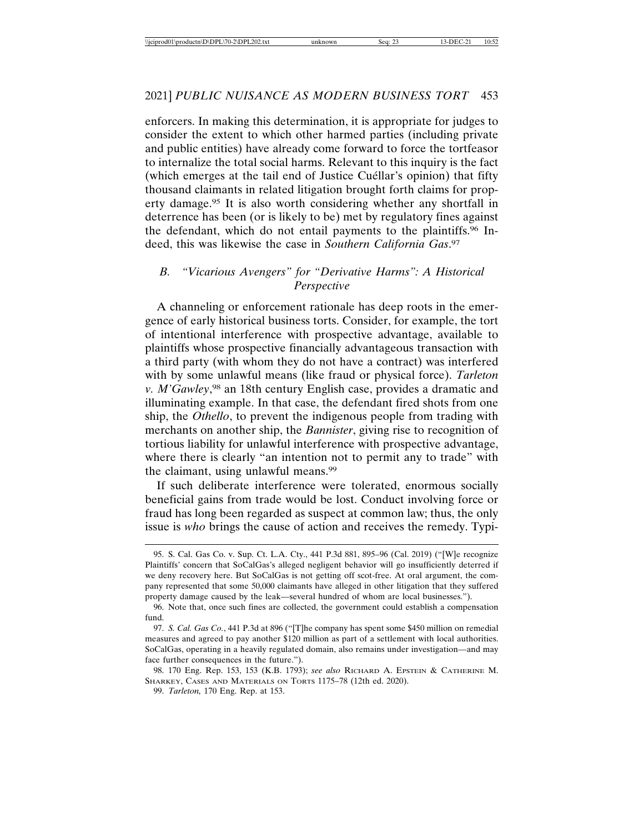enforcers. In making this determination, it is appropriate for judges to consider the extent to which other harmed parties (including private and public entities) have already come forward to force the tortfeasor to internalize the total social harms. Relevant to this inquiry is the fact (which emerges at the tail end of Justice Cuéllar's opinion) that fifty thousand claimants in related litigation brought forth claims for property damage.95 It is also worth considering whether any shortfall in deterrence has been (or is likely to be) met by regulatory fines against the defendant, which do not entail payments to the plaintiffs.96 Indeed, this was likewise the case in *Southern California Gas*. 97

## *B. "Vicarious Avengers" for "Derivative Harms": A Historical Perspective*

A channeling or enforcement rationale has deep roots in the emergence of early historical business torts. Consider, for example, the tort of intentional interference with prospective advantage, available to plaintiffs whose prospective financially advantageous transaction with a third party (with whom they do not have a contract) was interfered with by some unlawful means (like fraud or physical force). *Tarleton v. M'Gawley*, 98 an 18th century English case, provides a dramatic and illuminating example. In that case, the defendant fired shots from one ship, the *Othello*, to prevent the indigenous people from trading with merchants on another ship, the *Bannister*, giving rise to recognition of tortious liability for unlawful interference with prospective advantage, where there is clearly "an intention not to permit any to trade" with the claimant, using unlawful means.99

If such deliberate interference were tolerated, enormous socially beneficial gains from trade would be lost. Conduct involving force or fraud has long been regarded as suspect at common law; thus, the only issue is *who* brings the cause of action and receives the remedy. Typi-

<sup>95.</sup> S. Cal. Gas Co. v. Sup. Ct. L.A. Cty., 441 P.3d 881, 895–96 (Cal. 2019) ("[W]e recognize Plaintiffs' concern that SoCalGas's alleged negligent behavior will go insufficiently deterred if we deny recovery here. But SoCalGas is not getting off scot-free. At oral argument, the company represented that some 50,000 claimants have alleged in other litigation that they suffered property damage caused by the leak—several hundred of whom are local businesses.").

<sup>96.</sup> Note that, once such fines are collected, the government could establish a compensation fund.

<sup>97.</sup> *S. Cal. Gas Co.*, 441 P.3d at 896 ("[T]he company has spent some \$450 million on remedial measures and agreed to pay another \$120 million as part of a settlement with local authorities. SoCalGas, operating in a heavily regulated domain, also remains under investigation—and may face further consequences in the future.").

<sup>98. 170</sup> Eng. Rep. 153, 153 (K.B. 1793); *see also* RICHARD A. EPSTEIN & CATHERINE M. SHARKEY, CASES AND MATERIALS ON TORTS 1175–78 (12th ed. 2020).

<sup>99.</sup> *Tarleton,* 170 Eng. Rep. at 153.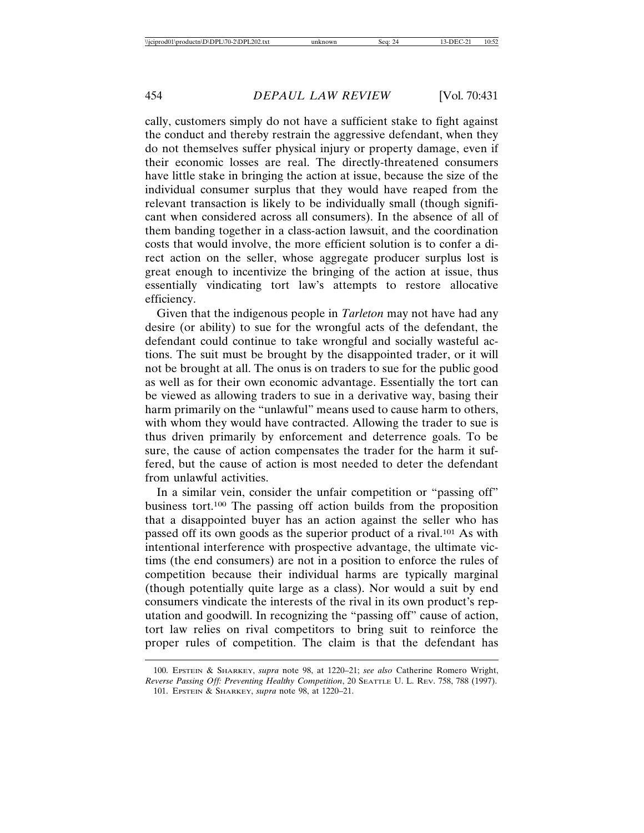cally, customers simply do not have a sufficient stake to fight against the conduct and thereby restrain the aggressive defendant, when they do not themselves suffer physical injury or property damage, even if their economic losses are real. The directly-threatened consumers have little stake in bringing the action at issue, because the size of the individual consumer surplus that they would have reaped from the relevant transaction is likely to be individually small (though significant when considered across all consumers). In the absence of all of them banding together in a class-action lawsuit, and the coordination costs that would involve, the more efficient solution is to confer a direct action on the seller, whose aggregate producer surplus lost is great enough to incentivize the bringing of the action at issue, thus essentially vindicating tort law's attempts to restore allocative efficiency.

Given that the indigenous people in *Tarleton* may not have had any desire (or ability) to sue for the wrongful acts of the defendant, the defendant could continue to take wrongful and socially wasteful actions. The suit must be brought by the disappointed trader, or it will not be brought at all. The onus is on traders to sue for the public good as well as for their own economic advantage. Essentially the tort can be viewed as allowing traders to sue in a derivative way, basing their harm primarily on the "unlawful" means used to cause harm to others, with whom they would have contracted. Allowing the trader to sue is thus driven primarily by enforcement and deterrence goals. To be sure, the cause of action compensates the trader for the harm it suffered, but the cause of action is most needed to deter the defendant from unlawful activities.

In a similar vein, consider the unfair competition or "passing off" business tort.100 The passing off action builds from the proposition that a disappointed buyer has an action against the seller who has passed off its own goods as the superior product of a rival.101 As with intentional interference with prospective advantage, the ultimate victims (the end consumers) are not in a position to enforce the rules of competition because their individual harms are typically marginal (though potentially quite large as a class). Nor would a suit by end consumers vindicate the interests of the rival in its own product's reputation and goodwill. In recognizing the "passing off" cause of action, tort law relies on rival competitors to bring suit to reinforce the proper rules of competition. The claim is that the defendant has

<sup>100.</sup> EPSTEIN & SHARKEY, *supra* note 98, at 1220–21; *see also* Catherine Romero Wright, *Reverse Passing Off: Preventing Healthy Competition*, 20 SEATTLE U. L. REV. 758, 788 (1997). 101. EPSTEIN & SHARKEY, *supra* note 98, at 1220–21.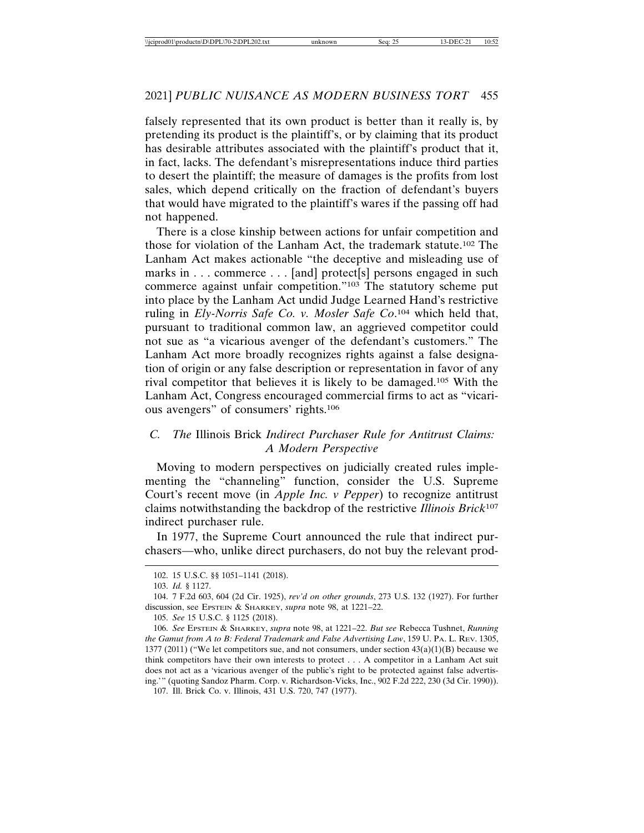falsely represented that its own product is better than it really is, by pretending its product is the plaintiff's, or by claiming that its product has desirable attributes associated with the plaintiff's product that it, in fact, lacks. The defendant's misrepresentations induce third parties to desert the plaintiff; the measure of damages is the profits from lost sales, which depend critically on the fraction of defendant's buyers that would have migrated to the plaintiff's wares if the passing off had not happened.

There is a close kinship between actions for unfair competition and those for violation of the Lanham Act, the trademark statute.102 The Lanham Act makes actionable "the deceptive and misleading use of marks in . . . commerce . . . [and] protect[s] persons engaged in such commerce against unfair competition."103 The statutory scheme put into place by the Lanham Act undid Judge Learned Hand's restrictive ruling in *Ely-Norris Safe Co. v. Mosler Safe Co*. 104 which held that, pursuant to traditional common law, an aggrieved competitor could not sue as "a vicarious avenger of the defendant's customers." The Lanham Act more broadly recognizes rights against a false designation of origin or any false description or representation in favor of any rival competitor that believes it is likely to be damaged.105 With the Lanham Act, Congress encouraged commercial firms to act as "vicarious avengers" of consumers' rights.106

# *C. The* Illinois Brick *Indirect Purchaser Rule for Antitrust Claims: A Modern Perspective*

Moving to modern perspectives on judicially created rules implementing the "channeling" function, consider the U.S. Supreme Court's recent move (in *Apple Inc. v Pepper*) to recognize antitrust claims notwithstanding the backdrop of the restrictive *Illinois Brick*<sup>107</sup> indirect purchaser rule.

In 1977, the Supreme Court announced the rule that indirect purchasers—who, unlike direct purchasers, do not buy the relevant prod-

<sup>102. 15</sup> U.S.C. §§ 1051–1141 (2018).

<sup>103.</sup> *Id.* § 1127.

<sup>104. 7</sup> F.2d 603, 604 (2d Cir. 1925), *rev'd on other grounds*, 273 U.S. 132 (1927). For further discussion, see EPSTEIN & SHARKEY, *supra* note 98, at 1221–22.

<sup>105.</sup> *See* 15 U.S.C. § 1125 (2018).

<sup>106.</sup> *See* EPSTEIN & SHARKEY, *supra* note 98, at 1221–22. *But see* Rebecca Tushnet, *Running the Gamut from A to B: Federal Trademark and False Advertising Law*, 159 U. PA. L. REV. 1305, 1377 (2011) ("We let competitors sue, and not consumers, under section  $43(a)(1)(B)$  because we think competitors have their own interests to protect . . . A competitor in a Lanham Act suit does not act as a 'vicarious avenger of the public's right to be protected against false advertising.'" (quoting Sandoz Pharm. Corp. v. Richardson-Vicks, Inc., 902 F.2d 222, 230 (3d Cir. 1990)). 107. Ill. Brick Co. v. Illinois, 431 U.S. 720, 747 (1977).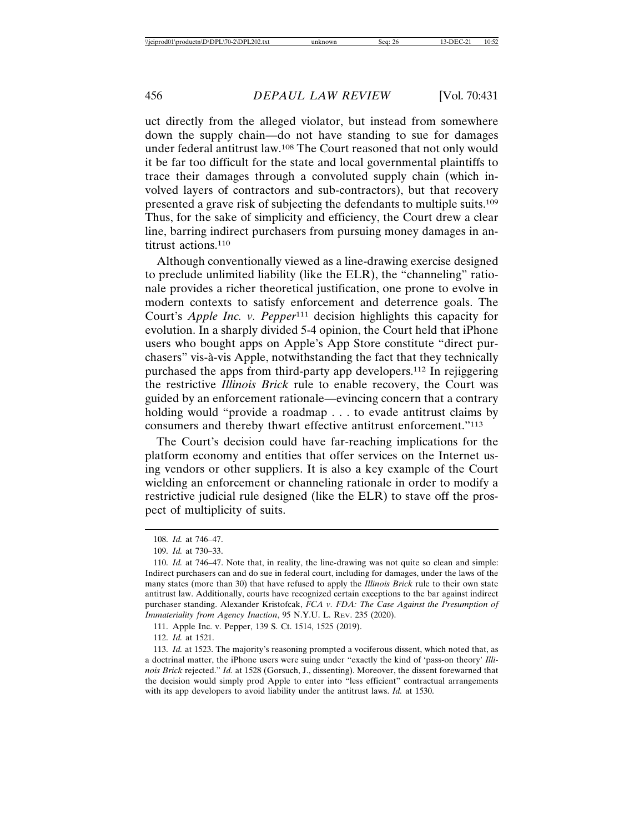uct directly from the alleged violator, but instead from somewhere down the supply chain—do not have standing to sue for damages under federal antitrust law.108 The Court reasoned that not only would it be far too difficult for the state and local governmental plaintiffs to trace their damages through a convoluted supply chain (which involved layers of contractors and sub-contractors), but that recovery presented a grave risk of subjecting the defendants to multiple suits.109 Thus, for the sake of simplicity and efficiency, the Court drew a clear line, barring indirect purchasers from pursuing money damages in antitrust actions.<sup>110</sup>

Although conventionally viewed as a line-drawing exercise designed to preclude unlimited liability (like the ELR), the "channeling" rationale provides a richer theoretical justification, one prone to evolve in modern contexts to satisfy enforcement and deterrence goals. The Court's *Apple Inc. v. Pepper*111 decision highlights this capacity for evolution. In a sharply divided 5-4 opinion, the Court held that iPhone users who bought apps on Apple's App Store constitute "direct purchasers" vis-à-vis Apple, notwithstanding the fact that they technically purchased the apps from third-party app developers.112 In rejiggering the restrictive *Illinois Brick* rule to enable recovery, the Court was guided by an enforcement rationale—evincing concern that a contrary holding would "provide a roadmap . . . to evade antitrust claims by consumers and thereby thwart effective antitrust enforcement."113

The Court's decision could have far-reaching implications for the platform economy and entities that offer services on the Internet using vendors or other suppliers. It is also a key example of the Court wielding an enforcement or channeling rationale in order to modify a restrictive judicial rule designed (like the ELR) to stave off the prospect of multiplicity of suits.

112. *Id.* at 1521.

<sup>108.</sup> *Id.* at 746–47.

<sup>109.</sup> *Id.* at 730–33.

<sup>110.</sup> *Id.* at 746–47. Note that, in reality, the line-drawing was not quite so clean and simple: Indirect purchasers can and do sue in federal court, including for damages, under the laws of the many states (more than 30) that have refused to apply the *Illinois Brick* rule to their own state antitrust law. Additionally, courts have recognized certain exceptions to the bar against indirect purchaser standing. Alexander Kristofcak, *FCA v. FDA: The Case Against the Presumption of Immateriality from Agency Inaction*, 95 N.Y.U. L. REV. 235 (2020).

<sup>111.</sup> Apple Inc. v. Pepper, 139 S. Ct. 1514, 1525 (2019).

<sup>113.</sup> *Id.* at 1523. The majority's reasoning prompted a vociferous dissent, which noted that, as a doctrinal matter, the iPhone users were suing under "exactly the kind of 'pass-on theory' *Illinois Brick* rejected." *Id.* at 1528 (Gorsuch, J., dissenting). Moreover, the dissent forewarned that the decision would simply prod Apple to enter into "less efficient" contractual arrangements with its app developers to avoid liability under the antitrust laws. *Id.* at 1530.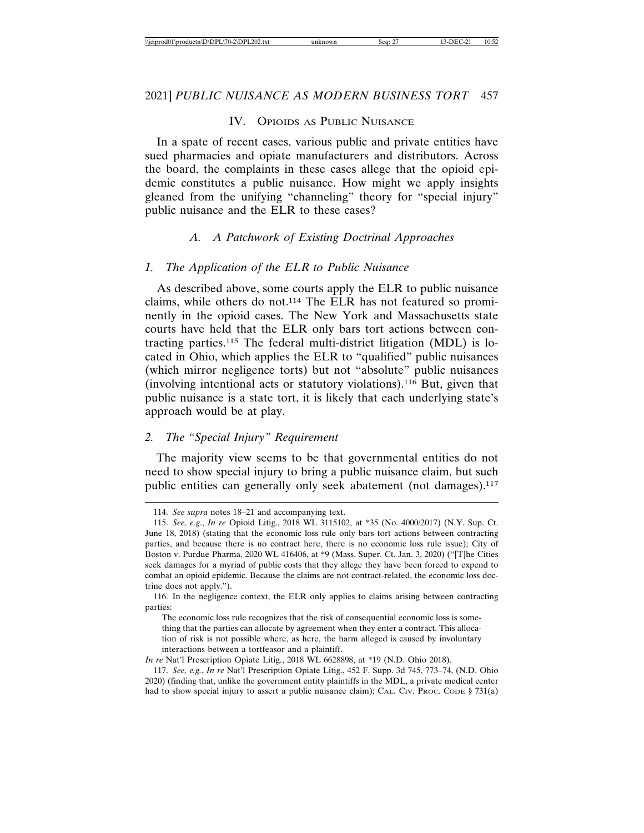# IV. OPIOIDS AS PUBLIC NUISANCE

In a spate of recent cases, various public and private entities have sued pharmacies and opiate manufacturers and distributors. Across the board, the complaints in these cases allege that the opioid epidemic constitutes a public nuisance. How might we apply insights gleaned from the unifying "channeling" theory for "special injury" public nuisance and the ELR to these cases?

#### *A. A Patchwork of Existing Doctrinal Approaches*

#### *1. The Application of the ELR to Public Nuisance*

As described above, some courts apply the ELR to public nuisance claims, while others do not.114 The ELR has not featured so prominently in the opioid cases. The New York and Massachusetts state courts have held that the ELR only bars tort actions between contracting parties.115 The federal multi-district litigation (MDL) is located in Ohio, which applies the ELR to "qualified" public nuisances (which mirror negligence torts) but not "absolute" public nuisances (involving intentional acts or statutory violations).116 But, given that public nuisance is a state tort, it is likely that each underlying state's approach would be at play.

# *2. The "Special Injury" Requirement*

The majority view seems to be that governmental entities do not need to show special injury to bring a public nuisance claim, but such public entities can generally only seek abatement (not damages).<sup>117</sup>

<sup>114.</sup> *See supra* notes 18–21 and accompanying text.

<sup>115.</sup> *See, e.g*., *In re* Opioid Litig., 2018 WL 3115102, at \*35 (No. 4000/2017) (N.Y. Sup. Ct. June 18, 2018) (stating that the economic loss rule only bars tort actions between contracting parties, and because there is no contract here, there is no economic loss rule issue); City of Boston v. Purdue Pharma, 2020 WL 416406, at \*9 (Mass. Super. Ct. Jan. 3, 2020) ("[T]he Cities seek damages for a myriad of public costs that they allege they have been forced to expend to combat an opioid epidemic. Because the claims are not contract-related, the economic loss doctrine does not apply.").

<sup>116.</sup> In the negligence context, the ELR only applies to claims arising between contracting parties:

The economic loss rule recognizes that the risk of consequential economic loss is something that the parties can allocate by agreement when they enter a contract. This allocation of risk is not possible where, as here, the harm alleged is caused by involuntary interactions between a tortfeasor and a plaintiff.

*In re* Nat'l Prescription Opiate Litig., 2018 WL 6628898, at \*19 (N.D. Ohio 2018).

<sup>117.</sup> *See, e.g.*, *In re* Nat'l Prescription Opiate Litig., 452 F. Supp. 3d 745, 773–74, (N.D. Ohio 2020) (finding that, unlike the government entity plaintiffs in the MDL, a private medical center had to show special injury to assert a public nuisance claim); CAL. CIV. PROC. CODE § 731(a)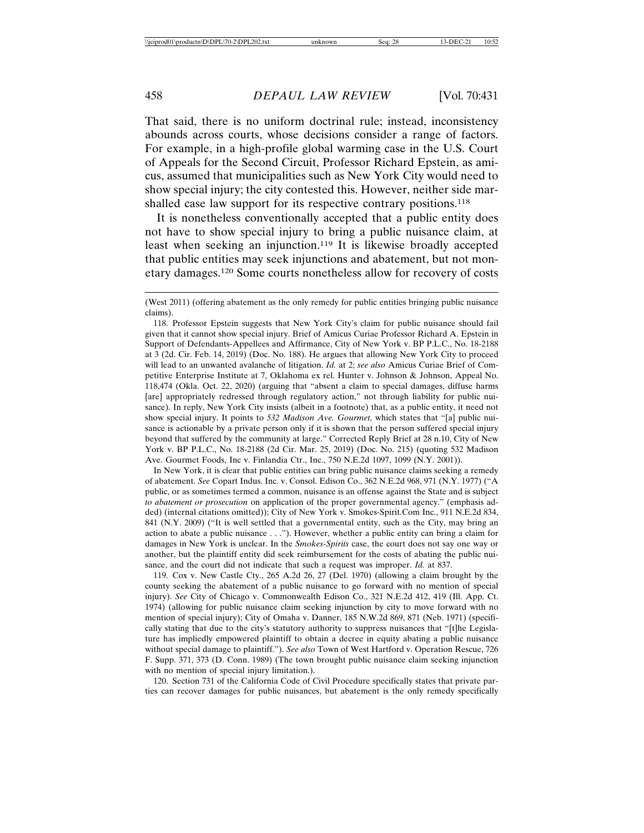That said, there is no uniform doctrinal rule; instead, inconsistency abounds across courts, whose decisions consider a range of factors. For example, in a high-profile global warming case in the U.S. Court of Appeals for the Second Circuit, Professor Richard Epstein, as amicus, assumed that municipalities such as New York City would need to show special injury; the city contested this. However, neither side marshalled case law support for its respective contrary positions.<sup>118</sup>

It is nonetheless conventionally accepted that a public entity does not have to show special injury to bring a public nuisance claim, at least when seeking an injunction.119 It is likewise broadly accepted that public entities may seek injunctions and abatement, but not monetary damages.120 Some courts nonetheless allow for recovery of costs

In New York, it is clear that public entities can bring public nuisance claims seeking a remedy of abatement. *See* Copart Indus. Inc. v. Consol. Edison Co., 362 N.E.2d 968, 971 (N.Y. 1977) ("A public, or as sometimes termed a common, nuisance is an offense against the State and is subject *to abatement or prosecution* on application of the proper governmental agency." (emphasis added) (internal citations omitted)); City of New York v. Smokes-Spirit.Com Inc., 911 N.E.2d 834, 841 (N.Y. 2009) ("It is well settled that a governmental entity, such as the City, may bring an action to abate a public nuisance . . ."). However, whether a public entity can bring a claim for damages in New York is unclear. In the *Smokes-Spirits* case, the court does not say one way or another, but the plaintiff entity did seek reimbursement for the costs of abating the public nuisance, and the court did not indicate that such a request was improper. *Id.* at 837.

119. Cox v. New Castle Cty., 265 A.2d 26, 27 (Del. 1970) (allowing a claim brought by the county seeking the abatement of a public nuisance to go forward with no mention of special injury). *See* City of Chicago v. Commonwealth Edison Co., 321 N.E.2d 412, 419 (Ill. App. Ct. 1974) (allowing for public nuisance claim seeking injunction by city to move forward with no mention of special injury); City of Omaha v. Danner, 185 N.W.2d 869, 871 (Neb. 1971) (specifically stating that due to the city's statutory authority to suppress nuisances that "[t]he Legislature has impliedly empowered plaintiff to obtain a decree in equity abating a public nuisance without special damage to plaintiff."). *See also* Town of West Hartford v. Operation Rescue, 726 F. Supp. 371, 373 (D. Conn. 1989) (The town brought public nuisance claim seeking injunction with no mention of special injury limitation.).

120. Section 731 of the California Code of Civil Procedure specifically states that private parties can recover damages for public nuisances, but abatement is the only remedy specifically

<sup>(</sup>West 2011) (offering abatement as the only remedy for public entities bringing public nuisance claims).

<sup>118.</sup> Professor Epstein suggests that New York City's claim for public nuisance should fail given that it cannot show special injury. Brief of Amicus Curiae Professor Richard A. Epstein in Support of Defendants-Appellees and Affirmance, City of New York v. BP P.L.C., No. 18-2188 at 3 (2d. Cir. Feb. 14, 2019) (Doc. No. 188). He argues that allowing New York City to proceed will lead to an unwanted avalanche of litigation. *Id.* at 2; *see also* Amicus Curiae Brief of Competitive Enterprise Institute at 7, Oklahoma ex rel. Hunter v. Johnson & Johnson, Appeal No. 118,474 (Okla. Oct. 22, 2020) (arguing that "absent a claim to special damages, diffuse harms [are] appropriately redressed through regulatory action," not through liability for public nuisance). In reply, New York City insists (albeit in a footnote) that, as a public entity, it need not show special injury. It points to *532 Madison Ave. Gourmet*, which states that "[a] public nuisance is actionable by a private person only if it is shown that the person suffered special injury beyond that suffered by the community at large." Corrected Reply Brief at 28 n.10, City of New York v. BP P.L.C., No. 18-2188 (2d Cir. Mar. 25, 2019) (Doc. No. 215) (quoting 532 Madison Ave. Gourmet Foods, Inc v. Finlandia Ctr., Inc., 750 N.E.2d 1097, 1099 (N.Y. 2001)).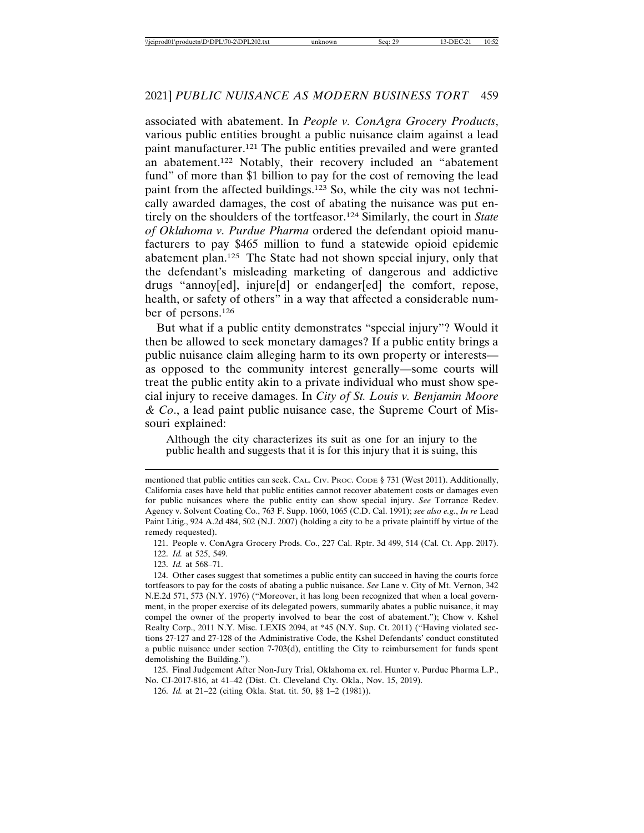associated with abatement. In *People v. ConAgra Grocery Products*, various public entities brought a public nuisance claim against a lead paint manufacturer.121 The public entities prevailed and were granted an abatement.122 Notably, their recovery included an "abatement fund" of more than \$1 billion to pay for the cost of removing the lead paint from the affected buildings.123 So, while the city was not technically awarded damages, the cost of abating the nuisance was put entirely on the shoulders of the tortfeasor.124 Similarly, the court in *State of Oklahoma v. Purdue Pharma* ordered the defendant opioid manufacturers to pay \$465 million to fund a statewide opioid epidemic abatement plan.125 The State had not shown special injury, only that the defendant's misleading marketing of dangerous and addictive drugs "annoy[ed], injure[d] or endanger[ed] the comfort, repose, health, or safety of others" in a way that affected a considerable number of persons.126

But what if a public entity demonstrates "special injury"? Would it then be allowed to seek monetary damages? If a public entity brings a public nuisance claim alleging harm to its own property or interests as opposed to the community interest generally—some courts will treat the public entity akin to a private individual who must show special injury to receive damages. In *City of St. Louis v. Benjamin Moore & Co*., a lead paint public nuisance case, the Supreme Court of Missouri explained:

Although the city characterizes its suit as one for an injury to the public health and suggests that it is for this injury that it is suing, this

125. Final Judgement After Non-Jury Trial, Oklahoma ex. rel. Hunter v. Purdue Pharma L.P., No. CJ-2017-816, at 41–42 (Dist. Ct. Cleveland Cty. Okla., Nov. 15, 2019).

126. *Id.* at 21–22 (citing Okla. Stat. tit. 50, §§ 1–2 (1981)).

mentioned that public entities can seek. CAL. CIV. Proc. Code § 731 (West 2011). Additionally, California cases have held that public entities cannot recover abatement costs or damages even for public nuisances where the public entity can show special injury. *See* Torrance Redev. Agency v. Solvent Coating Co., 763 F. Supp. 1060, 1065 (C.D. Cal. 1991); *see also e.g.*, *In re* Lead Paint Litig., 924 A.2d 484, 502 (N.J. 2007) (holding a city to be a private plaintiff by virtue of the remedy requested).

<sup>121.</sup> People v. ConAgra Grocery Prods. Co., 227 Cal. Rptr. 3d 499, 514 (Cal. Ct. App. 2017).

<sup>122.</sup> *Id.* at 525, 549.

<sup>123.</sup> *Id.* at 568–71.

<sup>124.</sup> Other cases suggest that sometimes a public entity can succeed in having the courts force tortfeasors to pay for the costs of abating a public nuisance. *See* Lane v. City of Mt. Vernon, 342 N.E.2d 571, 573 (N.Y. 1976) ("Moreover, it has long been recognized that when a local government, in the proper exercise of its delegated powers, summarily abates a public nuisance, it may compel the owner of the property involved to bear the cost of abatement."); Chow v. Kshel Realty Corp., 2011 N.Y. Misc. LEXIS 2094, at \*45 (N.Y. Sup. Ct. 2011) ("Having violated sections 27-127 and 27-128 of the Administrative Code, the Kshel Defendants' conduct constituted a public nuisance under section 7-703(d), entitling the City to reimbursement for funds spent demolishing the Building.").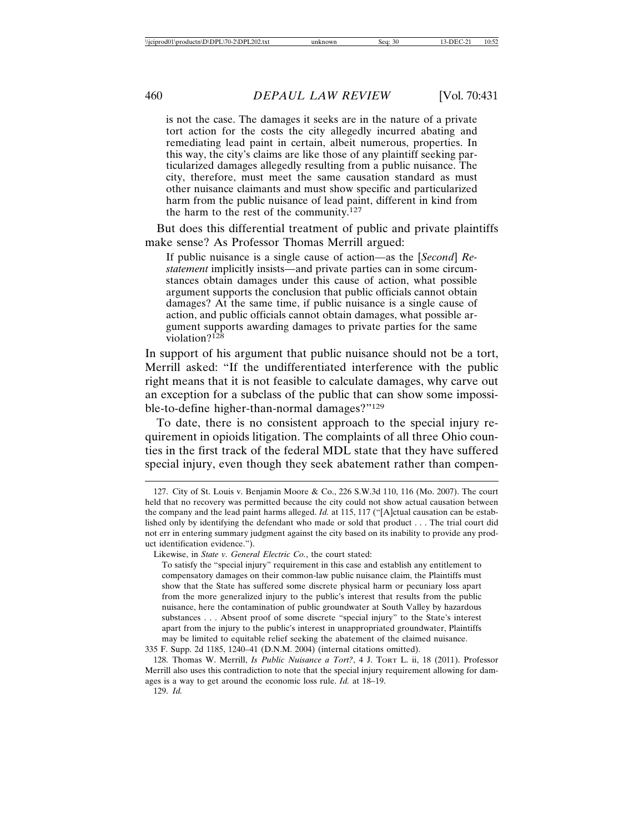is not the case. The damages it seeks are in the nature of a private tort action for the costs the city allegedly incurred abating and remediating lead paint in certain, albeit numerous, properties. In this way, the city's claims are like those of any plaintiff seeking particularized damages allegedly resulting from a public nuisance. The city, therefore, must meet the same causation standard as must other nuisance claimants and must show specific and particularized harm from the public nuisance of lead paint, different in kind from the harm to the rest of the community.127

But does this differential treatment of public and private plaintiffs make sense? As Professor Thomas Merrill argued:

If public nuisance is a single cause of action—as the [*Second*] *Restatement* implicitly insists—and private parties can in some circumstances obtain damages under this cause of action, what possible argument supports the conclusion that public officials cannot obtain damages? At the same time, if public nuisance is a single cause of action, and public officials cannot obtain damages, what possible argument supports awarding damages to private parties for the same violation?<sup>128</sup>

In support of his argument that public nuisance should not be a tort, Merrill asked: "If the undifferentiated interference with the public right means that it is not feasible to calculate damages, why carve out an exception for a subclass of the public that can show some impossible-to-define higher-than-normal damages?"129

To date, there is no consistent approach to the special injury requirement in opioids litigation. The complaints of all three Ohio counties in the first track of the federal MDL state that they have suffered special injury, even though they seek abatement rather than compen-

<sup>127.</sup> City of St. Louis v. Benjamin Moore & Co., 226 S.W.3d 110, 116 (Mo. 2007). The court held that no recovery was permitted because the city could not show actual causation between the company and the lead paint harms alleged. *Id.* at 115, 117 ("[A]ctual causation can be established only by identifying the defendant who made or sold that product . . . The trial court did not err in entering summary judgment against the city based on its inability to provide any product identification evidence.").

Likewise, in *State v. General Electric Co.*, the court stated:

To satisfy the "special injury" requirement in this case and establish any entitlement to compensatory damages on their common-law public nuisance claim, the Plaintiffs must show that the State has suffered some discrete physical harm or pecuniary loss apart from the more generalized injury to the public's interest that results from the public nuisance, here the contamination of public groundwater at South Valley by hazardous substances . . . Absent proof of some discrete "special injury" to the State's interest apart from the injury to the public's interest in unappropriated groundwater, Plaintiffs may be limited to equitable relief seeking the abatement of the claimed nuisance.

<sup>335</sup> F. Supp. 2d 1185, 1240–41 (D.N.M. 2004) (internal citations omitted).

<sup>128.</sup> Thomas W. Merrill, *Is Public Nuisance a Tort?*, 4 J. TORT L. ii, 18 (2011). Professor Merrill also uses this contradiction to note that the special injury requirement allowing for damages is a way to get around the economic loss rule. *Id.* at 18–19.

<sup>129.</sup> *Id.*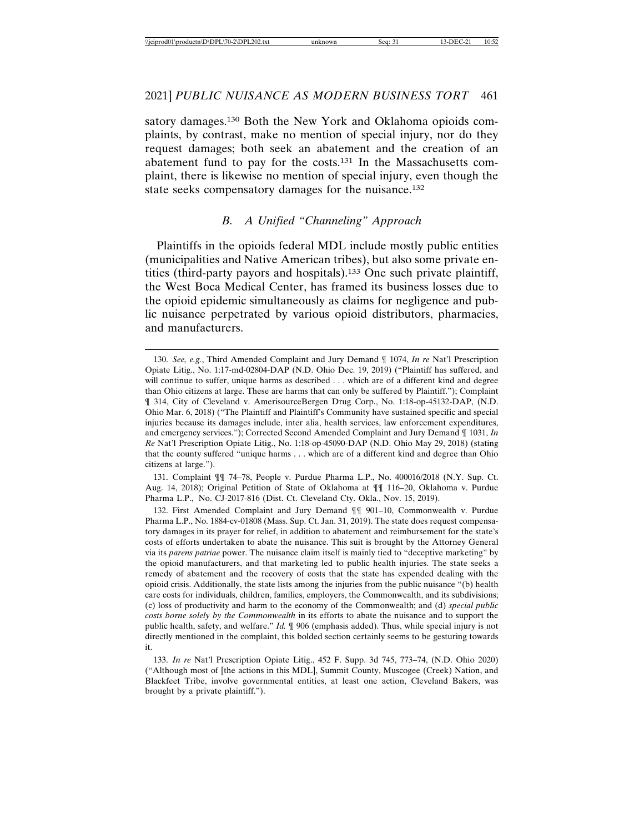satory damages.130 Both the New York and Oklahoma opioids complaints, by contrast, make no mention of special injury, nor do they request damages; both seek an abatement and the creation of an abatement fund to pay for the costs.131 In the Massachusetts complaint, there is likewise no mention of special injury, even though the state seeks compensatory damages for the nuisance.132

#### *B. A Unified "Channeling" Approach*

Plaintiffs in the opioids federal MDL include mostly public entities (municipalities and Native American tribes), but also some private entities (third-party payors and hospitals).133 One such private plaintiff, the West Boca Medical Center, has framed its business losses due to the opioid epidemic simultaneously as claims for negligence and public nuisance perpetrated by various opioid distributors, pharmacies, and manufacturers.

131. Complaint ¶¶ 74–78, People v. Purdue Pharma L.P., No. 400016/2018 (N.Y. Sup. Ct. Aug. 14, 2018); Original Petition of State of Oklahoma at ¶¶ 116–20, Oklahoma v. Purdue Pharma L.P., No. CJ-2017-816 (Dist. Ct. Cleveland Cty. Okla., Nov. 15, 2019).

<sup>130.</sup> *See, e.g.*, Third Amended Complaint and Jury Demand ¶ 1074, *In re* Nat'l Prescription Opiate Litig., No. 1:17-md-02804-DAP (N.D. Ohio Dec. 19, 2019) ("Plaintiff has suffered, and will continue to suffer, unique harms as described . . . which are of a different kind and degree than Ohio citizens at large. These are harms that can only be suffered by Plaintiff."); Complaint ¶ 314, City of Cleveland v. AmerisourceBergen Drug Corp., No. 1:18-op-45132-DAP, (N.D. Ohio Mar. 6, 2018) ("The Plaintiff and Plaintiff's Community have sustained specific and special injuries because its damages include, inter alia, health services, law enforcement expenditures, and emergency services."); Corrected Second Amended Complaint and Jury Demand ¶ 1031, *In Re* Nat'l Prescription Opiate Litig., No. 1:18-op-45090-DAP (N.D. Ohio May 29, 2018) (stating that the county suffered "unique harms . . . which are of a different kind and degree than Ohio citizens at large.").

<sup>132.</sup> First Amended Complaint and Jury Demand ¶¶ 901–10, Commonwealth v. Purdue Pharma L.P., No. 1884-cv-01808 (Mass. Sup. Ct. Jan. 31, 2019). The state does request compensatory damages in its prayer for relief, in addition to abatement and reimbursement for the state's costs of efforts undertaken to abate the nuisance. This suit is brought by the Attorney General via its *parens patriae* power. The nuisance claim itself is mainly tied to "deceptive marketing" by the opioid manufacturers, and that marketing led to public health injuries. The state seeks a remedy of abatement and the recovery of costs that the state has expended dealing with the opioid crisis. Additionally, the state lists among the injuries from the public nuisance "(b) health care costs for individuals, children, families, employers, the Commonwealth, and its subdivisions; (c) loss of productivity and harm to the economy of the Commonwealth; and (d) *special public costs borne solely by the Commonwealth* in its efforts to abate the nuisance and to support the public health, safety, and welfare." *Id.*  $\llbracket 906$  (emphasis added). Thus, while special injury is not directly mentioned in the complaint, this bolded section certainly seems to be gesturing towards it.

<sup>133.</sup> *In re* Nat'l Prescription Opiate Litig., 452 F. Supp. 3d 745, 773–74, (N.D. Ohio 2020) ("Although most of [the actions in this MDL], Summit County, Muscogee (Creek) Nation, and Blackfeet Tribe, involve governmental entities, at least one action, Cleveland Bakers, was brought by a private plaintiff.").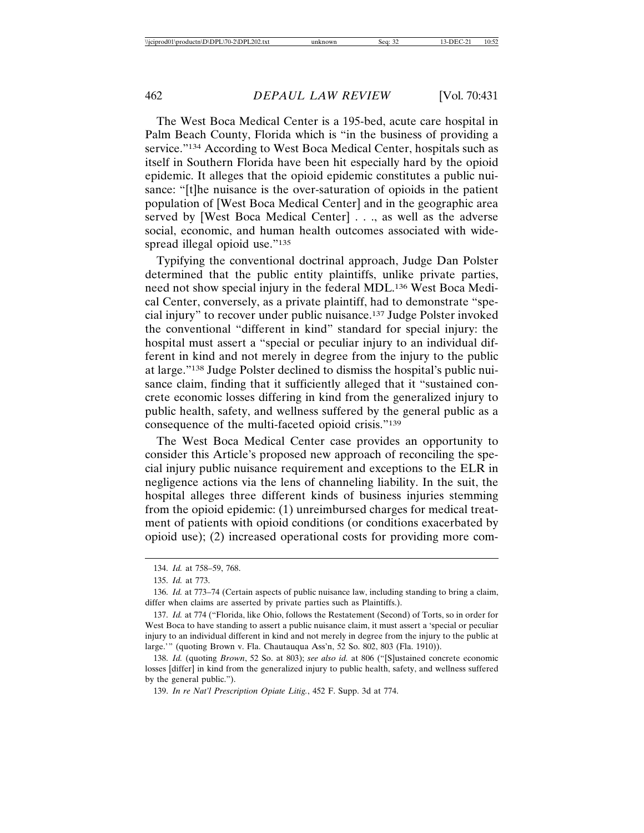The West Boca Medical Center is a 195-bed, acute care hospital in Palm Beach County, Florida which is "in the business of providing a service."<sup>134</sup> According to West Boca Medical Center, hospitals such as itself in Southern Florida have been hit especially hard by the opioid epidemic. It alleges that the opioid epidemic constitutes a public nuisance: "[t]he nuisance is the over-saturation of opioids in the patient population of [West Boca Medical Center] and in the geographic area served by [West Boca Medical Center] . . ., as well as the adverse social, economic, and human health outcomes associated with widespread illegal opioid use."<sup>135</sup>

Typifying the conventional doctrinal approach, Judge Dan Polster determined that the public entity plaintiffs, unlike private parties, need not show special injury in the federal MDL.136 West Boca Medical Center, conversely, as a private plaintiff, had to demonstrate "special injury" to recover under public nuisance.137 Judge Polster invoked the conventional "different in kind" standard for special injury: the hospital must assert a "special or peculiar injury to an individual different in kind and not merely in degree from the injury to the public at large."138 Judge Polster declined to dismiss the hospital's public nuisance claim, finding that it sufficiently alleged that it "sustained concrete economic losses differing in kind from the generalized injury to public health, safety, and wellness suffered by the general public as a consequence of the multi-faceted opioid crisis."139

The West Boca Medical Center case provides an opportunity to consider this Article's proposed new approach of reconciling the special injury public nuisance requirement and exceptions to the ELR in negligence actions via the lens of channeling liability. In the suit, the hospital alleges three different kinds of business injuries stemming from the opioid epidemic: (1) unreimbursed charges for medical treatment of patients with opioid conditions (or conditions exacerbated by opioid use); (2) increased operational costs for providing more com-

137. *Id.* at 774 ("Florida, like Ohio, follows the Restatement (Second) of Torts, so in order for West Boca to have standing to assert a public nuisance claim, it must assert a 'special or peculiar injury to an individual different in kind and not merely in degree from the injury to the public at large.'" (quoting Brown v. Fla. Chautauqua Ass'n, 52 So. 802, 803 (Fla. 1910)).

138. *Id.* (quoting *Brown*, 52 So. at 803); *see also id.* at 806 ("[S]ustained concrete economic losses [differ] in kind from the generalized injury to public health, safety, and wellness suffered by the general public.").

139. *In re Nat'l Prescription Opiate Litig.*, 452 F. Supp. 3d at 774.

<sup>134.</sup> *Id.* at 758–59, 768.

<sup>135.</sup> *Id.* at 773.

<sup>136.</sup> *Id.* at 773–74 (Certain aspects of public nuisance law, including standing to bring a claim, differ when claims are asserted by private parties such as Plaintiffs.).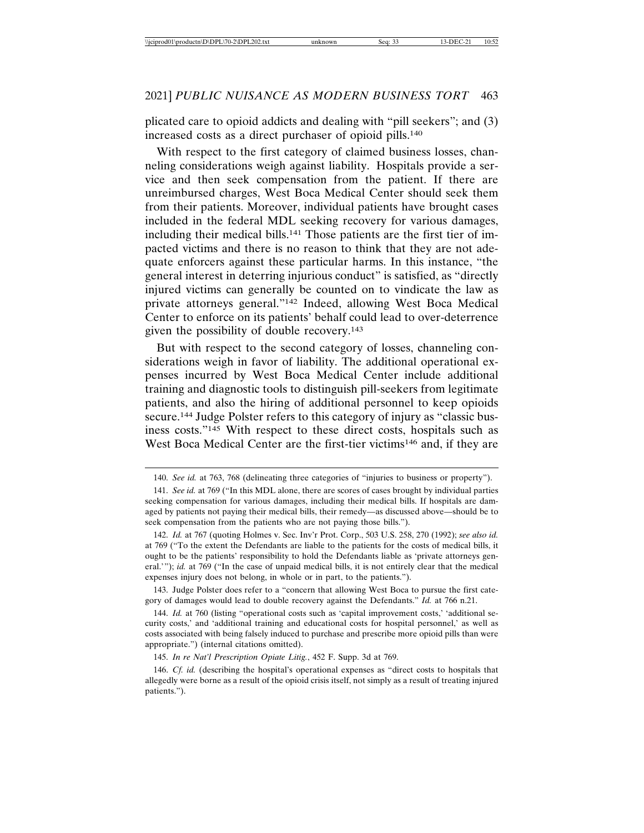plicated care to opioid addicts and dealing with "pill seekers"; and (3) increased costs as a direct purchaser of opioid pills.140

With respect to the first category of claimed business losses, channeling considerations weigh against liability. Hospitals provide a service and then seek compensation from the patient. If there are unreimbursed charges, West Boca Medical Center should seek them from their patients. Moreover, individual patients have brought cases included in the federal MDL seeking recovery for various damages, including their medical bills.141 Those patients are the first tier of impacted victims and there is no reason to think that they are not adequate enforcers against these particular harms. In this instance, "the general interest in deterring injurious conduct" is satisfied, as "directly injured victims can generally be counted on to vindicate the law as private attorneys general."142 Indeed, allowing West Boca Medical Center to enforce on its patients' behalf could lead to over-deterrence given the possibility of double recovery.143

But with respect to the second category of losses, channeling considerations weigh in favor of liability. The additional operational expenses incurred by West Boca Medical Center include additional training and diagnostic tools to distinguish pill-seekers from legitimate patients, and also the hiring of additional personnel to keep opioids secure.144 Judge Polster refers to this category of injury as "classic business costs."145 With respect to these direct costs, hospitals such as West Boca Medical Center are the first-tier victims146 and, if they are

143. Judge Polster does refer to a "concern that allowing West Boca to pursue the first category of damages would lead to double recovery against the Defendants." *Id.* at 766 n.21.

145. *In re Nat'l Prescription Opiate Litig.*, 452 F. Supp. 3d at 769.

<sup>140.</sup> *See id.* at 763, 768 (delineating three categories of "injuries to business or property").

<sup>141.</sup> *See id.* at 769 ("In this MDL alone, there are scores of cases brought by individual parties seeking compensation for various damages, including their medical bills. If hospitals are damaged by patients not paying their medical bills, their remedy—as discussed above—should be to seek compensation from the patients who are not paying those bills.").

<sup>142.</sup> *Id.* at 767 (quoting Holmes v. Sec. Inv'r Prot. Corp., 503 U.S. 258, 270 (1992); *see also id.* at 769 ("To the extent the Defendants are liable to the patients for the costs of medical bills, it ought to be the patients' responsibility to hold the Defendants liable as 'private attorneys general.'"); *id.* at 769 ("In the case of unpaid medical bills, it is not entirely clear that the medical expenses injury does not belong, in whole or in part, to the patients.").

<sup>144.</sup> *Id.* at 760 (listing "operational costs such as 'capital improvement costs,' 'additional security costs,' and 'additional training and educational costs for hospital personnel,' as well as costs associated with being falsely induced to purchase and prescribe more opioid pills than were appropriate.") (internal citations omitted).

<sup>146.</sup> *Cf. id.* (describing the hospital's operational expenses as "direct costs to hospitals that allegedly were borne as a result of the opioid crisis itself, not simply as a result of treating injured patients.").